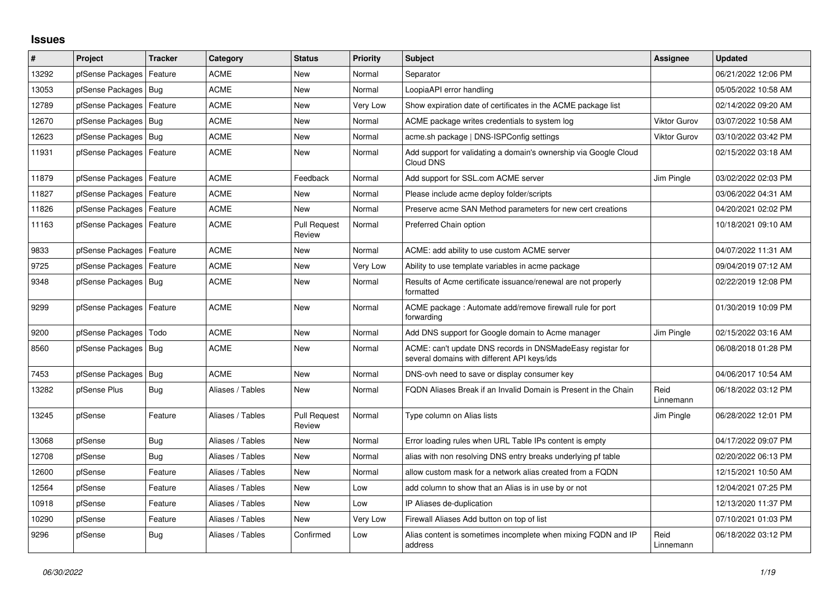## **Issues**

| #     | Project                    | <b>Tracker</b> | Category         | <b>Status</b>                 | <b>Priority</b> | <b>Subject</b>                                                                                            | Assignee            | <b>Updated</b>      |
|-------|----------------------------|----------------|------------------|-------------------------------|-----------------|-----------------------------------------------------------------------------------------------------------|---------------------|---------------------|
| 13292 | pfSense Packages           | Feature        | ACME             | <b>New</b>                    | Normal          | Separator                                                                                                 |                     | 06/21/2022 12:06 PM |
| 13053 | pfSense Packages           | Bug            | <b>ACME</b>      | <b>New</b>                    | Normal          | LoopiaAPI error handling                                                                                  |                     | 05/05/2022 10:58 AM |
| 12789 | pfSense Packages           | Feature        | ACME             | <b>New</b>                    | Very Low        | Show expiration date of certificates in the ACME package list                                             |                     | 02/14/2022 09:20 AM |
| 12670 | pfSense Packages           | Bug            | <b>ACME</b>      | <b>New</b>                    | Normal          | ACME package writes credentials to system log                                                             | <b>Viktor Gurov</b> | 03/07/2022 10:58 AM |
| 12623 | pfSense Packages   Bug     |                | <b>ACME</b>      | <b>New</b>                    | Normal          | acme.sh package   DNS-ISPConfig settings                                                                  | <b>Viktor Gurov</b> | 03/10/2022 03:42 PM |
| 11931 | pfSense Packages   Feature |                | <b>ACME</b>      | New                           | Normal          | Add support for validating a domain's ownership via Google Cloud<br>Cloud DNS                             |                     | 02/15/2022 03:18 AM |
| 11879 | pfSense Packages   Feature |                | <b>ACME</b>      | Feedback                      | Normal          | Add support for SSL.com ACME server                                                                       | Jim Pingle          | 03/02/2022 02:03 PM |
| 11827 | pfSense Packages           | Feature        | ACME             | New                           | Normal          | Please include acme deploy folder/scripts                                                                 |                     | 03/06/2022 04:31 AM |
| 11826 | pfSense Packages           | Feature        | <b>ACME</b>      | New                           | Normal          | Preserve acme SAN Method parameters for new cert creations                                                |                     | 04/20/2021 02:02 PM |
| 11163 | pfSense Packages           | Feature        | <b>ACME</b>      | <b>Pull Request</b><br>Review | Normal          | Preferred Chain option                                                                                    |                     | 10/18/2021 09:10 AM |
| 9833  | pfSense Packages           | Feature        | <b>ACME</b>      | <b>New</b>                    | Normal          | ACME: add ability to use custom ACME server                                                               |                     | 04/07/2022 11:31 AM |
| 9725  | pfSense Packages           | Feature        | <b>ACME</b>      | New                           | Very Low        | Ability to use template variables in acme package                                                         |                     | 09/04/2019 07:12 AM |
| 9348  | pfSense Packages   Bug     |                | <b>ACME</b>      | <b>New</b>                    | Normal          | Results of Acme certificate issuance/renewal are not properly<br>formatted                                |                     | 02/22/2019 12:08 PM |
| 9299  | pfSense Packages   Feature |                | <b>ACME</b>      | <b>New</b>                    | Normal          | ACME package: Automate add/remove firewall rule for port<br>forwarding                                    |                     | 01/30/2019 10:09 PM |
| 9200  | pfSense Packages           | Todo           | <b>ACME</b>      | <b>New</b>                    | Normal          | Add DNS support for Google domain to Acme manager                                                         | Jim Pingle          | 02/15/2022 03:16 AM |
| 8560  | pfSense Packages   Bug     |                | <b>ACME</b>      | <b>New</b>                    | Normal          | ACME: can't update DNS records in DNSMadeEasy registar for<br>several domains with different API keys/ids |                     | 06/08/2018 01:28 PM |
| 7453  | pfSense Packages   Bug     |                | <b>ACME</b>      | <b>New</b>                    | Normal          | DNS-ovh need to save or display consumer key                                                              |                     | 04/06/2017 10:54 AM |
| 13282 | pfSense Plus               | Bug            | Aliases / Tables | New                           | Normal          | FQDN Aliases Break if an Invalid Domain is Present in the Chain                                           | Reid<br>Linnemann   | 06/18/2022 03:12 PM |
| 13245 | pfSense                    | Feature        | Aliases / Tables | <b>Pull Request</b><br>Review | Normal          | Type column on Alias lists                                                                                | Jim Pingle          | 06/28/2022 12:01 PM |
| 13068 | pfSense                    | Bug            | Aliases / Tables | New                           | Normal          | Error loading rules when URL Table IPs content is empty                                                   |                     | 04/17/2022 09:07 PM |
| 12708 | pfSense                    | Bug            | Aliases / Tables | New                           | Normal          | alias with non resolving DNS entry breaks underlying pf table                                             |                     | 02/20/2022 06:13 PM |
| 12600 | pfSense                    | Feature        | Aliases / Tables | <b>New</b>                    | Normal          | allow custom mask for a network alias created from a FQDN                                                 |                     | 12/15/2021 10:50 AM |
| 12564 | pfSense                    | Feature        | Aliases / Tables | <b>New</b>                    | Low             | add column to show that an Alias is in use by or not                                                      |                     | 12/04/2021 07:25 PM |
| 10918 | pfSense                    | Feature        | Aliases / Tables | New                           | Low             | IP Aliases de-duplication                                                                                 |                     | 12/13/2020 11:37 PM |
| 10290 | pfSense                    | Feature        | Aliases / Tables | <b>New</b>                    | Very Low        | Firewall Aliases Add button on top of list                                                                |                     | 07/10/2021 01:03 PM |
| 9296  | pfSense                    | <b>Bug</b>     | Aliases / Tables | Confirmed                     | Low             | Alias content is sometimes incomplete when mixing FQDN and IP<br>address                                  | Reid<br>Linnemann   | 06/18/2022 03:12 PM |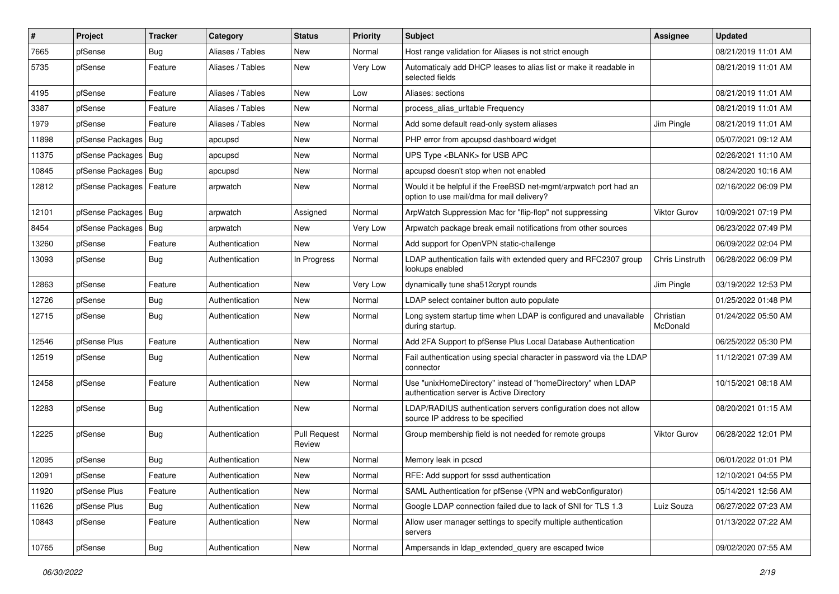| ∦     | Project                | <b>Tracker</b> | Category         | <b>Status</b>                 | <b>Priority</b> | <b>Subject</b>                                                                                                | <b>Assignee</b>       | <b>Updated</b>      |
|-------|------------------------|----------------|------------------|-------------------------------|-----------------|---------------------------------------------------------------------------------------------------------------|-----------------------|---------------------|
| 7665  | pfSense                | <b>Bug</b>     | Aliases / Tables | New                           | Normal          | Host range validation for Aliases is not strict enough                                                        |                       | 08/21/2019 11:01 AM |
| 5735  | pfSense                | Feature        | Aliases / Tables | New                           | Very Low        | Automaticaly add DHCP leases to alias list or make it readable in<br>selected fields                          |                       | 08/21/2019 11:01 AM |
| 4195  | pfSense                | Feature        | Aliases / Tables | New                           | Low             | Aliases: sections                                                                                             |                       | 08/21/2019 11:01 AM |
| 3387  | pfSense                | Feature        | Aliases / Tables | New                           | Normal          | process_alias_urltable Frequency                                                                              |                       | 08/21/2019 11:01 AM |
| 1979  | pfSense                | Feature        | Aliases / Tables | New                           | Normal          | Add some default read-only system aliases                                                                     | Jim Pingle            | 08/21/2019 11:01 AM |
| 11898 | pfSense Packages       | Bug            | apcupsd          | New                           | Normal          | PHP error from apcupsd dashboard widget                                                                       |                       | 05/07/2021 09:12 AM |
| 11375 | pfSense Packages       | <b>Bug</b>     | apcupsd          | New                           | Normal          | UPS Type <blank> for USB APC</blank>                                                                          |                       | 02/26/2021 11:10 AM |
| 10845 | pfSense Packages       | Bug            | apcupsd          | New                           | Normal          | apcupsd doesn't stop when not enabled                                                                         |                       | 08/24/2020 10:16 AM |
| 12812 | pfSense Packages       | Feature        | arpwatch         | New                           | Normal          | Would it be helpful if the FreeBSD net-mgmt/arpwatch port had an<br>option to use mail/dma for mail delivery? |                       | 02/16/2022 06:09 PM |
| 12101 | pfSense Packages   Bug |                | arpwatch         | Assigned                      | Normal          | ArpWatch Suppression Mac for "flip-flop" not suppressing                                                      | Viktor Gurov          | 10/09/2021 07:19 PM |
| 8454  | pfSense Packages       | Bug            | arpwatch         | New                           | Very Low        | Arpwatch package break email notifications from other sources                                                 |                       | 06/23/2022 07:49 PM |
| 13260 | pfSense                | Feature        | Authentication   | New                           | Normal          | Add support for OpenVPN static-challenge                                                                      |                       | 06/09/2022 02:04 PM |
| 13093 | pfSense                | <b>Bug</b>     | Authentication   | In Progress                   | Normal          | LDAP authentication fails with extended query and RFC2307 group<br>lookups enabled                            | Chris Linstruth       | 06/28/2022 06:09 PM |
| 12863 | pfSense                | Feature        | Authentication   | New                           | Very Low        | dynamically tune sha512crypt rounds                                                                           | Jim Pingle            | 03/19/2022 12:53 PM |
| 12726 | pfSense                | Bug            | Authentication   | New                           | Normal          | LDAP select container button auto populate                                                                    |                       | 01/25/2022 01:48 PM |
| 12715 | pfSense                | Bug            | Authentication   | New                           | Normal          | Long system startup time when LDAP is configured and unavailable<br>during startup.                           | Christian<br>McDonald | 01/24/2022 05:50 AM |
| 12546 | pfSense Plus           | Feature        | Authentication   | New                           | Normal          | Add 2FA Support to pfSense Plus Local Database Authentication                                                 |                       | 06/25/2022 05:30 PM |
| 12519 | pfSense                | <b>Bug</b>     | Authentication   | New                           | Normal          | Fail authentication using special character in password via the LDAP<br>connector                             |                       | 11/12/2021 07:39 AM |
| 12458 | pfSense                | Feature        | Authentication   | New                           | Normal          | Use "unixHomeDirectory" instead of "homeDirectory" when LDAP<br>authentication server is Active Directory     |                       | 10/15/2021 08:18 AM |
| 12283 | pfSense                | Bug            | Authentication   | New                           | Normal          | LDAP/RADIUS authentication servers configuration does not allow<br>source IP address to be specified          |                       | 08/20/2021 01:15 AM |
| 12225 | pfSense                | Bug            | Authentication   | <b>Pull Request</b><br>Review | Normal          | Group membership field is not needed for remote groups                                                        | <b>Viktor Gurov</b>   | 06/28/2022 12:01 PM |
| 12095 | pfSense                | <b>Bug</b>     | Authentication   | New                           | Normal          | Memory leak in pcscd                                                                                          |                       | 06/01/2022 01:01 PM |
| 12091 | pfSense                | Feature        | Authentication   | New                           | Normal          | RFE: Add support for sssd authentication                                                                      |                       | 12/10/2021 04:55 PM |
| 11920 | pfSense Plus           | Feature        | Authentication   | New                           | Normal          | SAML Authentication for pfSense (VPN and webConfigurator)                                                     |                       | 05/14/2021 12:56 AM |
| 11626 | pfSense Plus           | <b>Bug</b>     | Authentication   | New                           | Normal          | Google LDAP connection failed due to lack of SNI for TLS 1.3                                                  | Luiz Souza            | 06/27/2022 07:23 AM |
| 10843 | pfSense                | Feature        | Authentication   | New                           | Normal          | Allow user manager settings to specify multiple authentication<br>servers                                     |                       | 01/13/2022 07:22 AM |
| 10765 | pfSense                | Bug            | Authentication   | New                           | Normal          | Ampersands in Idap extended query are escaped twice                                                           |                       | 09/02/2020 07:55 AM |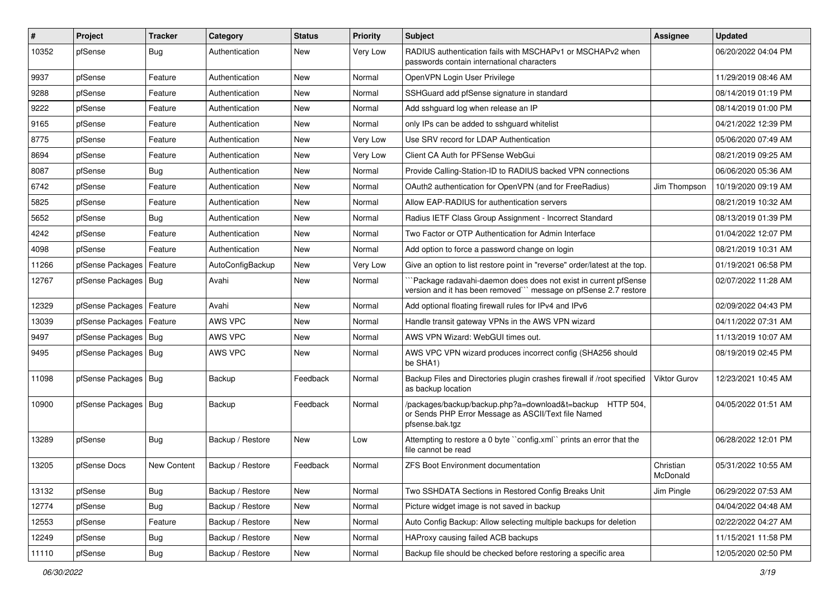| $\vert$ # | Project                    | <b>Tracker</b> | Category         | <b>Status</b> | <b>Priority</b> | <b>Subject</b>                                                                                                                      | <b>Assignee</b>       | <b>Updated</b>      |
|-----------|----------------------------|----------------|------------------|---------------|-----------------|-------------------------------------------------------------------------------------------------------------------------------------|-----------------------|---------------------|
| 10352     | pfSense                    | <b>Bug</b>     | Authentication   | New           | Very Low        | RADIUS authentication fails with MSCHAPv1 or MSCHAPv2 when<br>passwords contain international characters                            |                       | 06/20/2022 04:04 PM |
| 9937      | pfSense                    | Feature        | Authentication   | <b>New</b>    | Normal          | OpenVPN Login User Privilege                                                                                                        |                       | 11/29/2019 08:46 AM |
| 9288      | pfSense                    | Feature        | Authentication   | New           | Normal          | SSHGuard add pfSense signature in standard                                                                                          |                       | 08/14/2019 01:19 PM |
| 9222      | pfSense                    | Feature        | Authentication   | New           | Normal          | Add sshguard log when release an IP                                                                                                 |                       | 08/14/2019 01:00 PM |
| 9165      | pfSense                    | Feature        | Authentication   | New           | Normal          | only IPs can be added to sshguard whitelist                                                                                         |                       | 04/21/2022 12:39 PM |
| 8775      | pfSense                    | Feature        | Authentication   | New           | Very Low        | Use SRV record for LDAP Authentication                                                                                              |                       | 05/06/2020 07:49 AM |
| 8694      | pfSense                    | Feature        | Authentication   | <b>New</b>    | Very Low        | Client CA Auth for PFSense WebGui                                                                                                   |                       | 08/21/2019 09:25 AM |
| 8087      | pfSense                    | Bug            | Authentication   | New           | Normal          | Provide Calling-Station-ID to RADIUS backed VPN connections                                                                         |                       | 06/06/2020 05:36 AM |
| 6742      | pfSense                    | Feature        | Authentication   | <b>New</b>    | Normal          | OAuth2 authentication for OpenVPN (and for FreeRadius)                                                                              | Jim Thompson          | 10/19/2020 09:19 AM |
| 5825      | pfSense                    | Feature        | Authentication   | New           | Normal          | Allow EAP-RADIUS for authentication servers                                                                                         |                       | 08/21/2019 10:32 AM |
| 5652      | pfSense                    | <b>Bug</b>     | Authentication   | <b>New</b>    | Normal          | Radius IETF Class Group Assignment - Incorrect Standard                                                                             |                       | 08/13/2019 01:39 PM |
| 4242      | pfSense                    | Feature        | Authentication   | New           | Normal          | Two Factor or OTP Authentication for Admin Interface                                                                                |                       | 01/04/2022 12:07 PM |
| 4098      | pfSense                    | Feature        | Authentication   | New           | Normal          | Add option to force a password change on login                                                                                      |                       | 08/21/2019 10:31 AM |
| 11266     | pfSense Packages           | Feature        | AutoConfigBackup | <b>New</b>    | Very Low        | Give an option to list restore point in "reverse" order/latest at the top.                                                          |                       | 01/19/2021 06:58 PM |
| 12767     | pfSense Packages   Bug     |                | Avahi            | New           | Normal          | Package radavahi-daemon does does not exist in current pfSense<br>version and it has been removed" message on pfSense 2.7 restore   |                       | 02/07/2022 11:28 AM |
| 12329     | pfSense Packages   Feature |                | Avahi            | <b>New</b>    | Normal          | Add optional floating firewall rules for IPv4 and IPv6                                                                              |                       | 02/09/2022 04:43 PM |
| 13039     | pfSense Packages   Feature |                | AWS VPC          | New           | Normal          | Handle transit gateway VPNs in the AWS VPN wizard                                                                                   |                       | 04/11/2022 07:31 AM |
| 9497      | pfSense Packages   Bug     |                | AWS VPC          | New           | Normal          | AWS VPN Wizard: WebGUI times out.                                                                                                   |                       | 11/13/2019 10:07 AM |
| 9495      | pfSense Packages   Bug     |                | AWS VPC          | New           | Normal          | AWS VPC VPN wizard produces incorrect config (SHA256 should<br>be SHA1)                                                             |                       | 08/19/2019 02:45 PM |
| 11098     | pfSense Packages   Bug     |                | Backup           | Feedback      | Normal          | Backup Files and Directories plugin crashes firewall if /root specified<br>as backup location                                       | <b>Viktor Gurov</b>   | 12/23/2021 10:45 AM |
| 10900     | pfSense Packages   Bug     |                | Backup           | Feedback      | Normal          | /packages/backup/backup.php?a=download&t=backup HTTP 504,<br>or Sends PHP Error Message as ASCII/Text file Named<br>pfsense.bak.tgz |                       | 04/05/2022 01:51 AM |
| 13289     | pfSense                    | <b>Bug</b>     | Backup / Restore | <b>New</b>    | Low             | Attempting to restore a 0 byte "config.xml" prints an error that the<br>file cannot be read                                         |                       | 06/28/2022 12:01 PM |
| 13205     | pfSense Docs               | New Content    | Backup / Restore | Feedback      | Normal          | ZFS Boot Environment documentation                                                                                                  | Christian<br>McDonald | 05/31/2022 10:55 AM |
| 13132     | pfSense                    | <b>Bug</b>     | Backup / Restore | New           | Normal          | Two SSHDATA Sections in Restored Config Breaks Unit                                                                                 | Jim Pingle            | 06/29/2022 07:53 AM |
| 12774     | pfSense                    | <b>Bug</b>     | Backup / Restore | New           | Normal          | Picture widget image is not saved in backup                                                                                         |                       | 04/04/2022 04:48 AM |
| 12553     | pfSense                    | Feature        | Backup / Restore | New           | Normal          | Auto Config Backup: Allow selecting multiple backups for deletion                                                                   |                       | 02/22/2022 04:27 AM |
| 12249     | pfSense                    | <b>Bug</b>     | Backup / Restore | New           | Normal          | HAProxy causing failed ACB backups                                                                                                  |                       | 11/15/2021 11:58 PM |
| 11110     | pfSense                    | Bug            | Backup / Restore | New           | Normal          | Backup file should be checked before restoring a specific area                                                                      |                       | 12/05/2020 02:50 PM |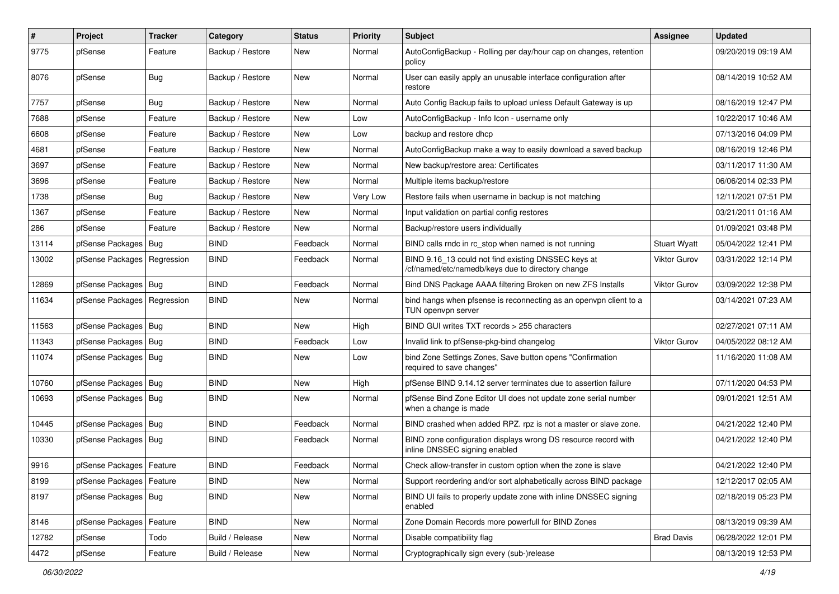| $\pmb{\#}$ | Project                       | <b>Tracker</b> | Category         | <b>Status</b> | <b>Priority</b> | <b>Subject</b>                                                                                           | <b>Assignee</b>     | <b>Updated</b>      |
|------------|-------------------------------|----------------|------------------|---------------|-----------------|----------------------------------------------------------------------------------------------------------|---------------------|---------------------|
| 9775       | pfSense                       | Feature        | Backup / Restore | <b>New</b>    | Normal          | AutoConfigBackup - Rolling per day/hour cap on changes, retention<br>policy                              |                     | 09/20/2019 09:19 AM |
| 8076       | pfSense                       | Bug            | Backup / Restore | New           | Normal          | User can easily apply an unusable interface configuration after<br>restore                               |                     | 08/14/2019 10:52 AM |
| 7757       | pfSense                       | Bug            | Backup / Restore | <b>New</b>    | Normal          | Auto Config Backup fails to upload unless Default Gateway is up                                          |                     | 08/16/2019 12:47 PM |
| 7688       | pfSense                       | Feature        | Backup / Restore | New           | Low             | AutoConfigBackup - Info Icon - username only                                                             |                     | 10/22/2017 10:46 AM |
| 6608       | pfSense                       | Feature        | Backup / Restore | <b>New</b>    | Low             | backup and restore dhcp                                                                                  |                     | 07/13/2016 04:09 PM |
| 4681       | pfSense                       | Feature        | Backup / Restore | New           | Normal          | AutoConfigBackup make a way to easily download a saved backup                                            |                     | 08/16/2019 12:46 PM |
| 3697       | pfSense                       | Feature        | Backup / Restore | <b>New</b>    | Normal          | New backup/restore area: Certificates                                                                    |                     | 03/11/2017 11:30 AM |
| 3696       | pfSense                       | Feature        | Backup / Restore | New           | Normal          | Multiple items backup/restore                                                                            |                     | 06/06/2014 02:33 PM |
| 1738       | pfSense                       | <b>Bug</b>     | Backup / Restore | New           | Very Low        | Restore fails when username in backup is not matching                                                    |                     | 12/11/2021 07:51 PM |
| 1367       | pfSense                       | Feature        | Backup / Restore | New           | Normal          | Input validation on partial config restores                                                              |                     | 03/21/2011 01:16 AM |
| 286        | pfSense                       | Feature        | Backup / Restore | New           | Normal          | Backup/restore users individually                                                                        |                     | 01/09/2021 03:48 PM |
| 13114      | pfSense Packages              | Bug            | <b>BIND</b>      | Feedback      | Normal          | BIND calls rndc in rc stop when named is not running                                                     | <b>Stuart Wyatt</b> | 05/04/2022 12:41 PM |
| 13002      | pfSense Packages   Regression |                | <b>BIND</b>      | Feedback      | Normal          | BIND 9.16_13 could not find existing DNSSEC keys at<br>/cf/named/etc/namedb/keys due to directory change | <b>Viktor Gurov</b> | 03/31/2022 12:14 PM |
| 12869      | pfSense Packages   Bug        |                | <b>BIND</b>      | Feedback      | Normal          | Bind DNS Package AAAA filtering Broken on new ZFS Installs                                               | Viktor Gurov        | 03/09/2022 12:38 PM |
| 11634      | pfSense Packages   Regression |                | <b>BIND</b>      | New           | Normal          | bind hangs when pfsense is reconnecting as an openvpn client to a<br>TUN openvpn server                  |                     | 03/14/2021 07:23 AM |
| 11563      | pfSense Packages   Bug        |                | <b>BIND</b>      | New           | High            | BIND GUI writes TXT records > 255 characters                                                             |                     | 02/27/2021 07:11 AM |
| 11343      | pfSense Packages              | Bug            | <b>BIND</b>      | Feedback      | Low             | Invalid link to pfSense-pkg-bind changelog                                                               | Viktor Gurov        | 04/05/2022 08:12 AM |
| 11074      | pfSense Packages   Bug        |                | <b>BIND</b>      | New           | Low             | bind Zone Settings Zones, Save button opens "Confirmation<br>required to save changes"                   |                     | 11/16/2020 11:08 AM |
| 10760      | pfSense Packages   Bug        |                | <b>BIND</b>      | New           | High            | pfSense BIND 9.14.12 server terminates due to assertion failure                                          |                     | 07/11/2020 04:53 PM |
| 10693      | pfSense Packages   Bug        |                | <b>BIND</b>      | <b>New</b>    | Normal          | pfSense Bind Zone Editor UI does not update zone serial number<br>when a change is made                  |                     | 09/01/2021 12:51 AM |
| 10445      | pfSense Packages   Bug        |                | <b>BIND</b>      | Feedback      | Normal          | BIND crashed when added RPZ. rpz is not a master or slave zone.                                          |                     | 04/21/2022 12:40 PM |
| 10330      | pfSense Packages   Bug        |                | <b>BIND</b>      | Feedback      | Normal          | BIND zone configuration displays wrong DS resource record with<br>inline DNSSEC signing enabled          |                     | 04/21/2022 12:40 PM |
| 9916       | pfSense Packages   Feature    |                | <b>BIND</b>      | Feedback      | Normal          | Check allow-transfer in custom option when the zone is slave                                             |                     | 04/21/2022 12:40 PM |
| 8199       | pfSense Packages   Feature    |                | <b>BIND</b>      | New           | Normal          | Support reordering and/or sort alphabetically across BIND package                                        |                     | 12/12/2017 02:05 AM |
| 8197       | pfSense Packages   Bug        |                | <b>BIND</b>      | New           | Normal          | BIND UI fails to properly update zone with inline DNSSEC signing<br>enabled                              |                     | 02/18/2019 05:23 PM |
| 8146       | pfSense Packages              | Feature        | <b>BIND</b>      | New           | Normal          | Zone Domain Records more powerfull for BIND Zones                                                        |                     | 08/13/2019 09:39 AM |
| 12782      | pfSense                       | Todo           | Build / Release  | New           | Normal          | Disable compatibility flag                                                                               | <b>Brad Davis</b>   | 06/28/2022 12:01 PM |
| 4472       | pfSense                       | Feature        | Build / Release  | New           | Normal          | Cryptographically sign every (sub-)release                                                               |                     | 08/13/2019 12:53 PM |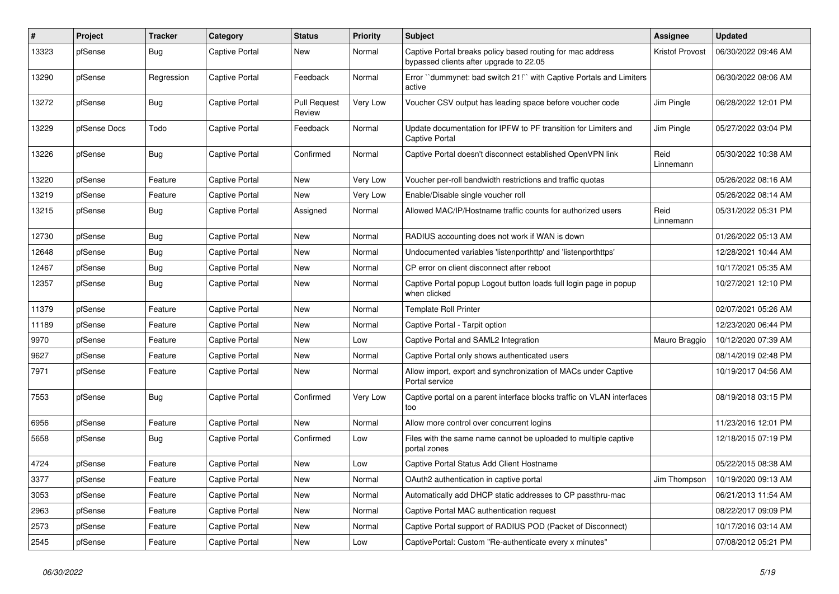| #     | Project      | <b>Tracker</b> | Category       | <b>Status</b>                 | <b>Priority</b> | <b>Subject</b>                                                                                        | Assignee               | <b>Updated</b>      |
|-------|--------------|----------------|----------------|-------------------------------|-----------------|-------------------------------------------------------------------------------------------------------|------------------------|---------------------|
| 13323 | pfSense      | <b>Bug</b>     | Captive Portal | <b>New</b>                    | Normal          | Captive Portal breaks policy based routing for mac address<br>bypassed clients after upgrade to 22.05 | <b>Kristof Provost</b> | 06/30/2022 09:46 AM |
| 13290 | pfSense      | Regression     | Captive Portal | Feedback                      | Normal          | Error "dummynet: bad switch 21!" with Captive Portals and Limiters<br>active                          |                        | 06/30/2022 08:06 AM |
| 13272 | pfSense      | <b>Bug</b>     | Captive Portal | <b>Pull Request</b><br>Review | Very Low        | Voucher CSV output has leading space before voucher code                                              | Jim Pingle             | 06/28/2022 12:01 PM |
| 13229 | pfSense Docs | Todo           | Captive Portal | Feedback                      | Normal          | Update documentation for IPFW to PF transition for Limiters and<br>Captive Portal                     | Jim Pingle             | 05/27/2022 03:04 PM |
| 13226 | pfSense      | Bug            | Captive Portal | Confirmed                     | Normal          | Captive Portal doesn't disconnect established OpenVPN link                                            | Reid<br>Linnemann      | 05/30/2022 10:38 AM |
| 13220 | pfSense      | Feature        | Captive Portal | <b>New</b>                    | Very Low        | Voucher per-roll bandwidth restrictions and traffic quotas                                            |                        | 05/26/2022 08:16 AM |
| 13219 | pfSense      | Feature        | Captive Portal | <b>New</b>                    | Very Low        | Enable/Disable single voucher roll                                                                    |                        | 05/26/2022 08:14 AM |
| 13215 | pfSense      | Bug            | Captive Portal | Assigned                      | Normal          | Allowed MAC/IP/Hostname traffic counts for authorized users                                           | Reid<br>Linnemann      | 05/31/2022 05:31 PM |
| 12730 | pfSense      | <b>Bug</b>     | Captive Portal | <b>New</b>                    | Normal          | RADIUS accounting does not work if WAN is down                                                        |                        | 01/26/2022 05:13 AM |
| 12648 | pfSense      | Bug            | Captive Portal | <b>New</b>                    | Normal          | Undocumented variables 'listenporthttp' and 'listenporthttps'                                         |                        | 12/28/2021 10:44 AM |
| 12467 | pfSense      | <b>Bug</b>     | Captive Portal | <b>New</b>                    | Normal          | CP error on client disconnect after reboot                                                            |                        | 10/17/2021 05:35 AM |
| 12357 | pfSense      | <b>Bug</b>     | Captive Portal | New                           | Normal          | Captive Portal popup Logout button loads full login page in popup<br>when clicked                     |                        | 10/27/2021 12:10 PM |
| 11379 | pfSense      | Feature        | Captive Portal | New                           | Normal          | <b>Template Roll Printer</b>                                                                          |                        | 02/07/2021 05:26 AM |
| 11189 | pfSense      | Feature        | Captive Portal | New                           | Normal          | Captive Portal - Tarpit option                                                                        |                        | 12/23/2020 06:44 PM |
| 9970  | pfSense      | Feature        | Captive Portal | New                           | Low             | Captive Portal and SAML2 Integration                                                                  | Mauro Braggio          | 10/12/2020 07:39 AM |
| 9627  | pfSense      | Feature        | Captive Portal | <b>New</b>                    | Normal          | Captive Portal only shows authenticated users                                                         |                        | 08/14/2019 02:48 PM |
| 7971  | pfSense      | Feature        | Captive Portal | New                           | Normal          | Allow import, export and synchronization of MACs under Captive<br>Portal service                      |                        | 10/19/2017 04:56 AM |
| 7553  | pfSense      | <b>Bug</b>     | Captive Portal | Confirmed                     | Very Low        | Captive portal on a parent interface blocks traffic on VLAN interfaces<br>too                         |                        | 08/19/2018 03:15 PM |
| 6956  | pfSense      | Feature        | Captive Portal | <b>New</b>                    | Normal          | Allow more control over concurrent logins                                                             |                        | 11/23/2016 12:01 PM |
| 5658  | pfSense      | Bug            | Captive Portal | Confirmed                     | Low             | Files with the same name cannot be uploaded to multiple captive<br>portal zones                       |                        | 12/18/2015 07:19 PM |
| 4724  | pfSense      | Feature        | Captive Portal | New                           | Low             | Captive Portal Status Add Client Hostname                                                             |                        | 05/22/2015 08:38 AM |
| 3377  | pfSense      | Feature        | Captive Portal | <b>New</b>                    | Normal          | OAuth2 authentication in captive portal                                                               | Jim Thompson           | 10/19/2020 09:13 AM |
| 3053  | pfSense      | Feature        | Captive Portal | New                           | Normal          | Automatically add DHCP static addresses to CP passthru-mac                                            |                        | 06/21/2013 11:54 AM |
| 2963  | pfSense      | Feature        | Captive Portal | <b>New</b>                    | Normal          | Captive Portal MAC authentication request                                                             |                        | 08/22/2017 09:09 PM |
| 2573  | pfSense      | Feature        | Captive Portal | New                           | Normal          | Captive Portal support of RADIUS POD (Packet of Disconnect)                                           |                        | 10/17/2016 03:14 AM |
| 2545  | pfSense      | Feature        | Captive Portal | New                           | Low             | CaptivePortal: Custom "Re-authenticate every x minutes"                                               |                        | 07/08/2012 05:21 PM |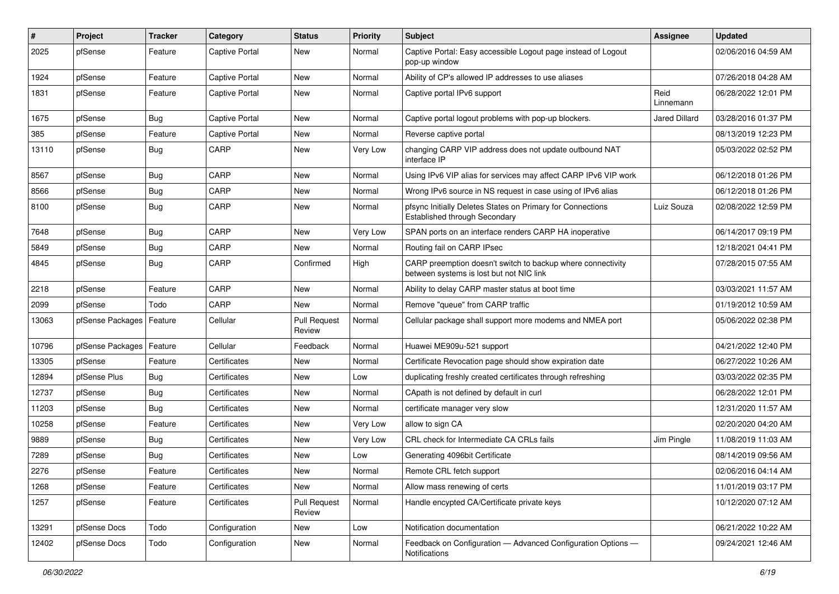| #     | Project                    | Tracker    | Category              | <b>Status</b>                 | <b>Priority</b> | Subject                                                                                                 | <b>Assignee</b>   | <b>Updated</b>      |
|-------|----------------------------|------------|-----------------------|-------------------------------|-----------------|---------------------------------------------------------------------------------------------------------|-------------------|---------------------|
| 2025  | pfSense                    | Feature    | Captive Portal        | New                           | Normal          | Captive Portal: Easy accessible Logout page instead of Logout<br>pop-up window                          |                   | 02/06/2016 04:59 AM |
| 1924  | pfSense                    | Feature    | Captive Portal        | New                           | Normal          | Ability of CP's allowed IP addresses to use aliases                                                     |                   | 07/26/2018 04:28 AM |
| 1831  | pfSense                    | Feature    | Captive Portal        | New                           | Normal          | Captive portal IPv6 support                                                                             | Reid<br>Linnemann | 06/28/2022 12:01 PM |
| 1675  | pfSense                    | <b>Bug</b> | Captive Portal        | New                           | Normal          | Captive portal logout problems with pop-up blockers.                                                    | Jared Dillard     | 03/28/2016 01:37 PM |
| 385   | pfSense                    | Feature    | <b>Captive Portal</b> | New                           | Normal          | Reverse captive portal                                                                                  |                   | 08/13/2019 12:23 PM |
| 13110 | pfSense                    | <b>Bug</b> | CARP                  | New                           | Very Low        | changing CARP VIP address does not update outbound NAT<br>interface IP                                  |                   | 05/03/2022 02:52 PM |
| 8567  | pfSense                    | <b>Bug</b> | CARP                  | <b>New</b>                    | Normal          | Using IPv6 VIP alias for services may affect CARP IPv6 VIP work                                         |                   | 06/12/2018 01:26 PM |
| 8566  | pfSense                    | <b>Bug</b> | CARP                  | New                           | Normal          | Wrong IPv6 source in NS request in case using of IPv6 alias                                             |                   | 06/12/2018 01:26 PM |
| 8100  | pfSense                    | <b>Bug</b> | CARP                  | <b>New</b>                    | Normal          | pfsync Initially Deletes States on Primary for Connections<br>Established through Secondary             | Luiz Souza        | 02/08/2022 12:59 PM |
| 7648  | pfSense                    | <b>Bug</b> | CARP                  | New                           | Very Low        | SPAN ports on an interface renders CARP HA inoperative                                                  |                   | 06/14/2017 09:19 PM |
| 5849  | pfSense                    | <b>Bug</b> | CARP                  | New                           | Normal          | Routing fail on CARP IPsec                                                                              |                   | 12/18/2021 04:41 PM |
| 4845  | pfSense                    | <b>Bug</b> | CARP                  | Confirmed                     | High            | CARP preemption doesn't switch to backup where connectivity<br>between systems is lost but not NIC link |                   | 07/28/2015 07:55 AM |
| 2218  | pfSense                    | Feature    | CARP                  | New                           | Normal          | Ability to delay CARP master status at boot time                                                        |                   | 03/03/2021 11:57 AM |
| 2099  | pfSense                    | Todo       | CARP                  | New                           | Normal          | Remove "queue" from CARP traffic                                                                        |                   | 01/19/2012 10:59 AM |
| 13063 | pfSense Packages   Feature |            | Cellular              | <b>Pull Request</b><br>Review | Normal          | Cellular package shall support more modems and NMEA port                                                |                   | 05/06/2022 02:38 PM |
| 10796 | pfSense Packages           | Feature    | Cellular              | Feedback                      | Normal          | Huawei ME909u-521 support                                                                               |                   | 04/21/2022 12:40 PM |
| 13305 | pfSense                    | Feature    | Certificates          | New                           | Normal          | Certificate Revocation page should show expiration date                                                 |                   | 06/27/2022 10:26 AM |
| 12894 | pfSense Plus               | <b>Bug</b> | Certificates          | New                           | Low             | duplicating freshly created certificates through refreshing                                             |                   | 03/03/2022 02:35 PM |
| 12737 | pfSense                    | <b>Bug</b> | Certificates          | New                           | Normal          | CApath is not defined by default in curl                                                                |                   | 06/28/2022 12:01 PM |
| 11203 | pfSense                    | <b>Bug</b> | Certificates          | <b>New</b>                    | Normal          | certificate manager very slow                                                                           |                   | 12/31/2020 11:57 AM |
| 10258 | pfSense                    | Feature    | Certificates          | New                           | Very Low        | allow to sign CA                                                                                        |                   | 02/20/2020 04:20 AM |
| 9889  | pfSense                    | <b>Bug</b> | Certificates          | <b>New</b>                    | Very Low        | CRL check for Intermediate CA CRLs fails                                                                | Jim Pingle        | 11/08/2019 11:03 AM |
| 7289  | pfSense                    | <b>Bug</b> | Certificates          | <b>New</b>                    | Low             | Generating 4096bit Certificate                                                                          |                   | 08/14/2019 09:56 AM |
| 2276  | pfSense                    | Feature    | Certificates          | New                           | Normal          | Remote CRL fetch support                                                                                |                   | 02/06/2016 04:14 AM |
| 1268  | pfSense                    | Feature    | Certificates          | New                           | Normal          | Allow mass renewing of certs                                                                            |                   | 11/01/2019 03:17 PM |
| 1257  | pfSense                    | Feature    | Certificates          | <b>Pull Request</b><br>Review | Normal          | Handle encypted CA/Certificate private keys                                                             |                   | 10/12/2020 07:12 AM |
| 13291 | pfSense Docs               | Todo       | Configuration         | New                           | Low             | Notification documentation                                                                              |                   | 06/21/2022 10:22 AM |
| 12402 | pfSense Docs               | Todo       | Configuration         | New                           | Normal          | Feedback on Configuration - Advanced Configuration Options -<br>Notifications                           |                   | 09/24/2021 12:46 AM |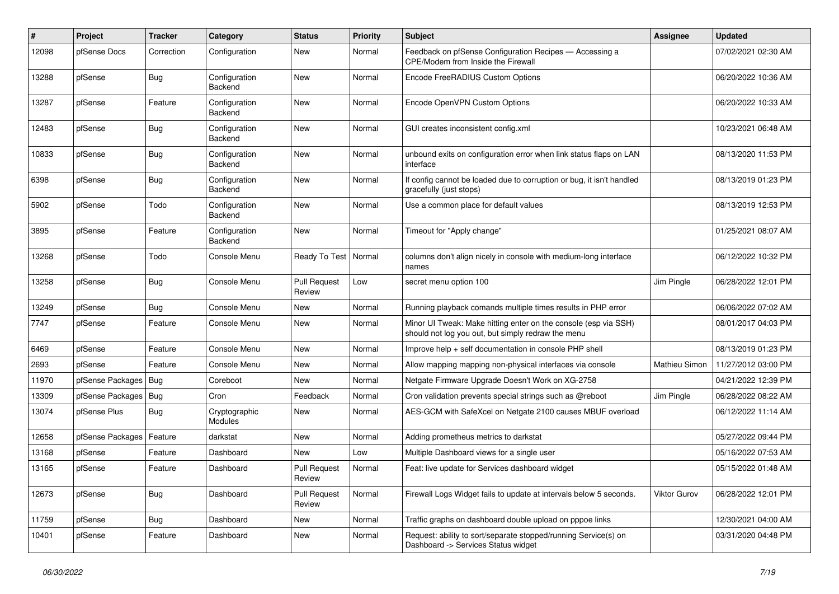| #     | Project                | <b>Tracker</b> | Category                 | <b>Status</b>                 | <b>Priority</b> | Subject                                                                                                               | Assignee             | <b>Updated</b>      |
|-------|------------------------|----------------|--------------------------|-------------------------------|-----------------|-----------------------------------------------------------------------------------------------------------------------|----------------------|---------------------|
| 12098 | pfSense Docs           | Correction     | Configuration            | New                           | Normal          | Feedback on pfSense Configuration Recipes - Accessing a<br>CPE/Modem from Inside the Firewall                         |                      | 07/02/2021 02:30 AM |
| 13288 | pfSense                | Bug            | Configuration<br>Backend | <b>New</b>                    | Normal          | Encode FreeRADIUS Custom Options                                                                                      |                      | 06/20/2022 10:36 AM |
| 13287 | pfSense                | Feature        | Configuration<br>Backend | <b>New</b>                    | Normal          | Encode OpenVPN Custom Options                                                                                         |                      | 06/20/2022 10:33 AM |
| 12483 | pfSense                | <b>Bug</b>     | Configuration<br>Backend | <b>New</b>                    | Normal          | GUI creates inconsistent config.xml                                                                                   |                      | 10/23/2021 06:48 AM |
| 10833 | pfSense                | <b>Bug</b>     | Configuration<br>Backend | <b>New</b>                    | Normal          | unbound exits on configuration error when link status flaps on LAN<br>interface                                       |                      | 08/13/2020 11:53 PM |
| 6398  | pfSense                | <b>Bug</b>     | Configuration<br>Backend | <b>New</b>                    | Normal          | If config cannot be loaded due to corruption or bug, it isn't handled<br>gracefully (just stops)                      |                      | 08/13/2019 01:23 PM |
| 5902  | pfSense                | Todo           | Configuration<br>Backend | <b>New</b>                    | Normal          | Use a common place for default values                                                                                 |                      | 08/13/2019 12:53 PM |
| 3895  | pfSense                | Feature        | Configuration<br>Backend | <b>New</b>                    | Normal          | Timeout for "Apply change"                                                                                            |                      | 01/25/2021 08:07 AM |
| 13268 | pfSense                | Todo           | Console Menu             | Ready To Test                 | Normal          | columns don't align nicely in console with medium-long interface<br>names                                             |                      | 06/12/2022 10:32 PM |
| 13258 | pfSense                | <b>Bug</b>     | Console Menu             | <b>Pull Request</b><br>Review | Low             | secret menu option 100                                                                                                | Jim Pingle           | 06/28/2022 12:01 PM |
| 13249 | pfSense                | <b>Bug</b>     | Console Menu             | New                           | Normal          | Running playback comands multiple times results in PHP error                                                          |                      | 06/06/2022 07:02 AM |
| 7747  | pfSense                | Feature        | Console Menu             | <b>New</b>                    | Normal          | Minor UI Tweak: Make hitting enter on the console (esp via SSH)<br>should not log you out, but simply redraw the menu |                      | 08/01/2017 04:03 PM |
| 6469  | pfSense                | Feature        | Console Menu             | <b>New</b>                    | Normal          | Improve help + self documentation in console PHP shell                                                                |                      | 08/13/2019 01:23 PM |
| 2693  | pfSense                | Feature        | Console Menu             | New                           | Normal          | Allow mapping mapping non-physical interfaces via console                                                             | <b>Mathieu Simon</b> | 11/27/2012 03:00 PM |
| 11970 | pfSense Packages   Bug |                | Coreboot                 | <b>New</b>                    | Normal          | Netgate Firmware Upgrade Doesn't Work on XG-2758                                                                      |                      | 04/21/2022 12:39 PM |
| 13309 | pfSense Packages       | Bug            | Cron                     | Feedback                      | Normal          | Cron validation prevents special strings such as @reboot                                                              | Jim Pingle           | 06/28/2022 08:22 AM |
| 13074 | pfSense Plus           | <b>Bug</b>     | Cryptographic<br>Modules | New                           | Normal          | AES-GCM with SafeXcel on Netgate 2100 causes MBUF overload                                                            |                      | 06/12/2022 11:14 AM |
| 12658 | pfSense Packages       | Feature        | darkstat                 | <b>New</b>                    | Normal          | Adding prometheus metrics to darkstat                                                                                 |                      | 05/27/2022 09:44 PM |
| 13168 | pfSense                | Feature        | Dashboard                | New                           | Low             | Multiple Dashboard views for a single user                                                                            |                      | 05/16/2022 07:53 AM |
| 13165 | pfSense                | Feature        | Dashboard                | <b>Pull Request</b><br>Review | Normal          | Feat: live update for Services dashboard widget                                                                       |                      | 05/15/2022 01:48 AM |
| 12673 | pfSense                | <b>Bug</b>     | Dashboard                | <b>Pull Request</b><br>Review | Normal          | Firewall Logs Widget fails to update at intervals below 5 seconds.                                                    | Viktor Gurov         | 06/28/2022 12:01 PM |
| 11759 | pfSense                | Bug            | Dashboard                | New                           | Normal          | Traffic graphs on dashboard double upload on pppoe links                                                              |                      | 12/30/2021 04:00 AM |
| 10401 | pfSense                | Feature        | Dashboard                | New                           | Normal          | Request: ability to sort/separate stopped/running Service(s) on<br>Dashboard -> Services Status widget                |                      | 03/31/2020 04:48 PM |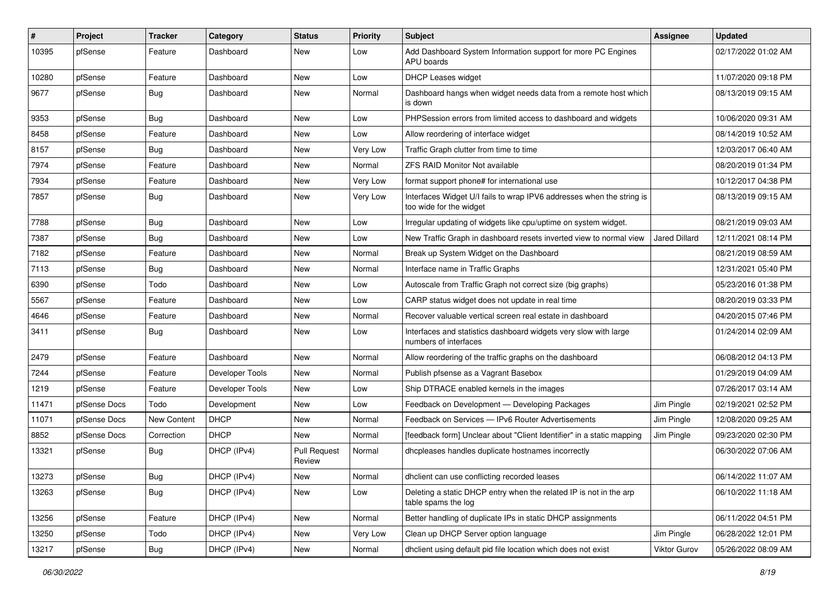| #     | Project      | Tracker     | Category        | <b>Status</b>                 | <b>Priority</b> | Subject                                                                                          | <b>Assignee</b>      | <b>Updated</b>      |
|-------|--------------|-------------|-----------------|-------------------------------|-----------------|--------------------------------------------------------------------------------------------------|----------------------|---------------------|
| 10395 | pfSense      | Feature     | Dashboard       | New                           | Low             | Add Dashboard System Information support for more PC Engines<br>APU boards                       |                      | 02/17/2022 01:02 AM |
| 10280 | pfSense      | Feature     | Dashboard       | New                           | Low             | <b>DHCP Leases widget</b>                                                                        |                      | 11/07/2020 09:18 PM |
| 9677  | pfSense      | Bug         | Dashboard       | <b>New</b>                    | Normal          | Dashboard hangs when widget needs data from a remote host which<br>is down                       |                      | 08/13/2019 09:15 AM |
| 9353  | pfSense      | <b>Bug</b>  | Dashboard       | <b>New</b>                    | Low             | PHPSession errors from limited access to dashboard and widgets                                   |                      | 10/06/2020 09:31 AM |
| 8458  | pfSense      | Feature     | Dashboard       | <b>New</b>                    | Low             | Allow reordering of interface widget                                                             |                      | 08/14/2019 10:52 AM |
| 8157  | pfSense      | Bug         | Dashboard       | New                           | Very Low        | Traffic Graph clutter from time to time                                                          |                      | 12/03/2017 06:40 AM |
| 7974  | pfSense      | Feature     | Dashboard       | <b>New</b>                    | Normal          | <b>ZFS RAID Monitor Not available</b>                                                            |                      | 08/20/2019 01:34 PM |
| 7934  | pfSense      | Feature     | Dashboard       | <b>New</b>                    | Very Low        | format support phone# for international use                                                      |                      | 10/12/2017 04:38 PM |
| 7857  | pfSense      | <b>Bug</b>  | Dashboard       | <b>New</b>                    | Very Low        | Interfaces Widget U/I fails to wrap IPV6 addresses when the string is<br>too wide for the widget |                      | 08/13/2019 09:15 AM |
| 7788  | pfSense      | <b>Bug</b>  | Dashboard       | <b>New</b>                    | Low             | Irregular updating of widgets like cpu/uptime on system widget.                                  |                      | 08/21/2019 09:03 AM |
| 7387  | pfSense      | <b>Bug</b>  | Dashboard       | New                           | Low             | New Traffic Graph in dashboard resets inverted view to normal view                               | <b>Jared Dillard</b> | 12/11/2021 08:14 PM |
| 7182  | pfSense      | Feature     | Dashboard       | <b>New</b>                    | Normal          | Break up System Widget on the Dashboard                                                          |                      | 08/21/2019 08:59 AM |
| 7113  | pfSense      | <b>Bug</b>  | Dashboard       | New                           | Normal          | Interface name in Traffic Graphs                                                                 |                      | 12/31/2021 05:40 PM |
| 6390  | pfSense      | Todo        | Dashboard       | <b>New</b>                    | Low             | Autoscale from Traffic Graph not correct size (big graphs)                                       |                      | 05/23/2016 01:38 PM |
| 5567  | pfSense      | Feature     | Dashboard       | <b>New</b>                    | Low             | CARP status widget does not update in real time                                                  |                      | 08/20/2019 03:33 PM |
| 4646  | pfSense      | Feature     | Dashboard       | <b>New</b>                    | Normal          | Recover valuable vertical screen real estate in dashboard                                        |                      | 04/20/2015 07:46 PM |
| 3411  | pfSense      | Bug         | Dashboard       | New                           | Low             | Interfaces and statistics dashboard widgets very slow with large<br>numbers of interfaces        |                      | 01/24/2014 02:09 AM |
| 2479  | pfSense      | Feature     | Dashboard       | New                           | Normal          | Allow reordering of the traffic graphs on the dashboard                                          |                      | 06/08/2012 04:13 PM |
| 7244  | pfSense      | Feature     | Developer Tools | <b>New</b>                    | Normal          | Publish pfsense as a Vagrant Basebox                                                             |                      | 01/29/2019 04:09 AM |
| 1219  | pfSense      | Feature     | Developer Tools | New                           | Low             | Ship DTRACE enabled kernels in the images                                                        |                      | 07/26/2017 03:14 AM |
| 11471 | pfSense Docs | Todo        | Development     | <b>New</b>                    | Low             | Feedback on Development - Developing Packages                                                    | Jim Pingle           | 02/19/2021 02:52 PM |
| 11071 | pfSense Docs | New Content | <b>DHCP</b>     | <b>New</b>                    | Normal          | Feedback on Services - IPv6 Router Advertisements                                                | Jim Pingle           | 12/08/2020 09:25 AM |
| 8852  | pfSense Docs | Correction  | <b>DHCP</b>     | New                           | Normal          | [feedback form] Unclear about "Client Identifier" in a static mapping                            | Jim Pingle           | 09/23/2020 02:30 PM |
| 13321 | pfSense      | Bug         | DHCP (IPv4)     | <b>Pull Request</b><br>Review | Normal          | dhcpleases handles duplicate hostnames incorrectly                                               |                      | 06/30/2022 07:06 AM |
| 13273 | pfSense      | <b>Bug</b>  | DHCP (IPv4)     | New                           | Normal          | dhclient can use conflicting recorded leases                                                     |                      | 06/14/2022 11:07 AM |
| 13263 | pfSense      | <b>Bug</b>  | DHCP (IPv4)     | New                           | Low             | Deleting a static DHCP entry when the related IP is not in the arp<br>table spams the log        |                      | 06/10/2022 11:18 AM |
| 13256 | pfSense      | Feature     | DHCP (IPv4)     | New                           | Normal          | Better handling of duplicate IPs in static DHCP assignments                                      |                      | 06/11/2022 04:51 PM |
| 13250 | pfSense      | Todo        | DHCP (IPv4)     | New                           | Very Low        | Clean up DHCP Server option language                                                             | Jim Pingle           | 06/28/2022 12:01 PM |
| 13217 | pfSense      | <b>Bug</b>  | DHCP (IPv4)     | New                           | Normal          | dhclient using default pid file location which does not exist                                    | <b>Viktor Gurov</b>  | 05/26/2022 08:09 AM |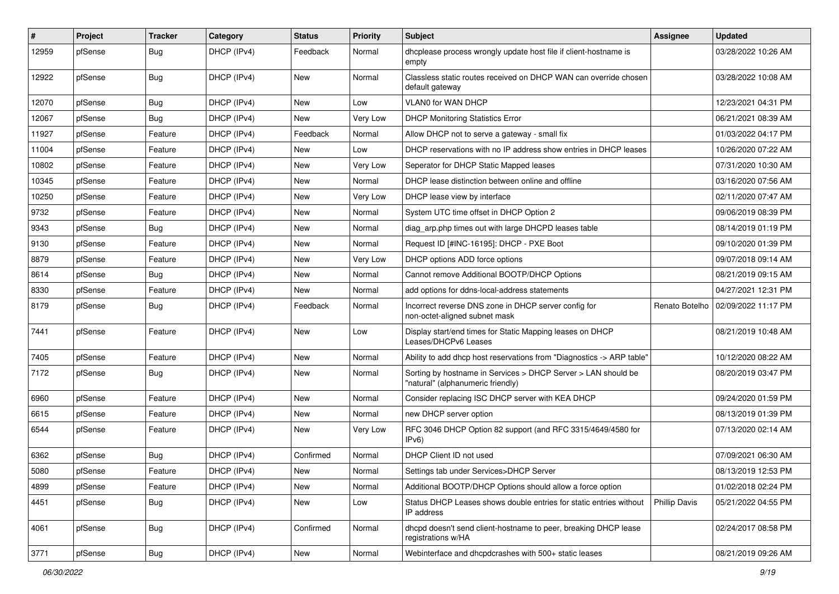| $\sharp$ | Project | <b>Tracker</b> | Category    | <b>Status</b> | <b>Priority</b> | Subject                                                                                            | <b>Assignee</b>      | <b>Updated</b>      |
|----------|---------|----------------|-------------|---------------|-----------------|----------------------------------------------------------------------------------------------------|----------------------|---------------------|
| 12959    | pfSense | <b>Bug</b>     | DHCP (IPv4) | Feedback      | Normal          | dhcplease process wrongly update host file if client-hostname is<br>empty                          |                      | 03/28/2022 10:26 AM |
| 12922    | pfSense | Bug            | DHCP (IPv4) | New           | Normal          | Classless static routes received on DHCP WAN can override chosen<br>default gateway                |                      | 03/28/2022 10:08 AM |
| 12070    | pfSense | <b>Bug</b>     | DHCP (IPv4) | New           | Low             | VLAN0 for WAN DHCP                                                                                 |                      | 12/23/2021 04:31 PM |
| 12067    | pfSense | <b>Bug</b>     | DHCP (IPv4) | <b>New</b>    | Very Low        | <b>DHCP Monitoring Statistics Error</b>                                                            |                      | 06/21/2021 08:39 AM |
| 11927    | pfSense | Feature        | DHCP (IPv4) | Feedback      | Normal          | Allow DHCP not to serve a gateway - small fix                                                      |                      | 01/03/2022 04:17 PM |
| 11004    | pfSense | Feature        | DHCP (IPv4) | New           | Low             | DHCP reservations with no IP address show entries in DHCP leases                                   |                      | 10/26/2020 07:22 AM |
| 10802    | pfSense | Feature        | DHCP (IPv4) | <b>New</b>    | Very Low        | Seperator for DHCP Static Mapped leases                                                            |                      | 07/31/2020 10:30 AM |
| 10345    | pfSense | Feature        | DHCP (IPv4) | New           | Normal          | DHCP lease distinction between online and offline                                                  |                      | 03/16/2020 07:56 AM |
| 10250    | pfSense | Feature        | DHCP (IPv4) | New           | Very Low        | DHCP lease view by interface                                                                       |                      | 02/11/2020 07:47 AM |
| 9732     | pfSense | Feature        | DHCP (IPv4) | New           | Normal          | System UTC time offset in DHCP Option 2                                                            |                      | 09/06/2019 08:39 PM |
| 9343     | pfSense | <b>Bug</b>     | DHCP (IPv4) | <b>New</b>    | Normal          | diag_arp.php times out with large DHCPD leases table                                               |                      | 08/14/2019 01:19 PM |
| 9130     | pfSense | Feature        | DHCP (IPv4) | New           | Normal          | Request ID [#INC-16195]: DHCP - PXE Boot                                                           |                      | 09/10/2020 01:39 PM |
| 8879     | pfSense | Feature        | DHCP (IPv4) | New           | Very Low        | DHCP options ADD force options                                                                     |                      | 09/07/2018 09:14 AM |
| 8614     | pfSense | Bug            | DHCP (IPv4) | New           | Normal          | Cannot remove Additional BOOTP/DHCP Options                                                        |                      | 08/21/2019 09:15 AM |
| 8330     | pfSense | Feature        | DHCP (IPv4) | New           | Normal          | add options for ddns-local-address statements                                                      |                      | 04/27/2021 12:31 PM |
| 8179     | pfSense | Bug            | DHCP (IPv4) | Feedback      | Normal          | Incorrect reverse DNS zone in DHCP server config for<br>non-octet-aligned subnet mask              | Renato Botelho       | 02/09/2022 11:17 PM |
| 7441     | pfSense | Feature        | DHCP (IPv4) | New           | Low             | Display start/end times for Static Mapping leases on DHCP<br>Leases/DHCPv6 Leases                  |                      | 08/21/2019 10:48 AM |
| 7405     | pfSense | Feature        | DHCP (IPv4) | New           | Normal          | Ability to add dhcp host reservations from "Diagnostics -> ARP table"                              |                      | 10/12/2020 08:22 AM |
| 7172     | pfSense | <b>Bug</b>     | DHCP (IPv4) | New           | Normal          | Sorting by hostname in Services > DHCP Server > LAN should be<br>"natural" (alphanumeric friendly) |                      | 08/20/2019 03:47 PM |
| 6960     | pfSense | Feature        | DHCP (IPv4) | <b>New</b>    | Normal          | Consider replacing ISC DHCP server with KEA DHCP                                                   |                      | 09/24/2020 01:59 PM |
| 6615     | pfSense | Feature        | DHCP (IPv4) | <b>New</b>    | Normal          | new DHCP server option                                                                             |                      | 08/13/2019 01:39 PM |
| 6544     | pfSense | Feature        | DHCP (IPv4) | New           | Very Low        | RFC 3046 DHCP Option 82 support (and RFC 3315/4649/4580 for<br>IPv6)                               |                      | 07/13/2020 02:14 AM |
| 6362     | pfSense | <b>Bug</b>     | DHCP (IPv4) | Confirmed     | Normal          | DHCP Client ID not used                                                                            |                      | 07/09/2021 06:30 AM |
| 5080     | pfSense | Feature        | DHCP (IPv4) | New           | Normal          | Settings tab under Services>DHCP Server                                                            |                      | 08/13/2019 12:53 PM |
| 4899     | pfSense | Feature        | DHCP (IPv4) | New           | Normal          | Additional BOOTP/DHCP Options should allow a force option                                          |                      | 01/02/2018 02:24 PM |
| 4451     | pfSense | <b>Bug</b>     | DHCP (IPv4) | New           | Low             | Status DHCP Leases shows double entries for static entries without<br>IP address                   | <b>Phillip Davis</b> | 05/21/2022 04:55 PM |
| 4061     | pfSense | <b>Bug</b>     | DHCP (IPv4) | Confirmed     | Normal          | dhcpd doesn't send client-hostname to peer, breaking DHCP lease<br>registrations w/HA              |                      | 02/24/2017 08:58 PM |
| 3771     | pfSense | Bug            | DHCP (IPv4) | New           | Normal          | Webinterface and dhcpdcrashes with 500+ static leases                                              |                      | 08/21/2019 09:26 AM |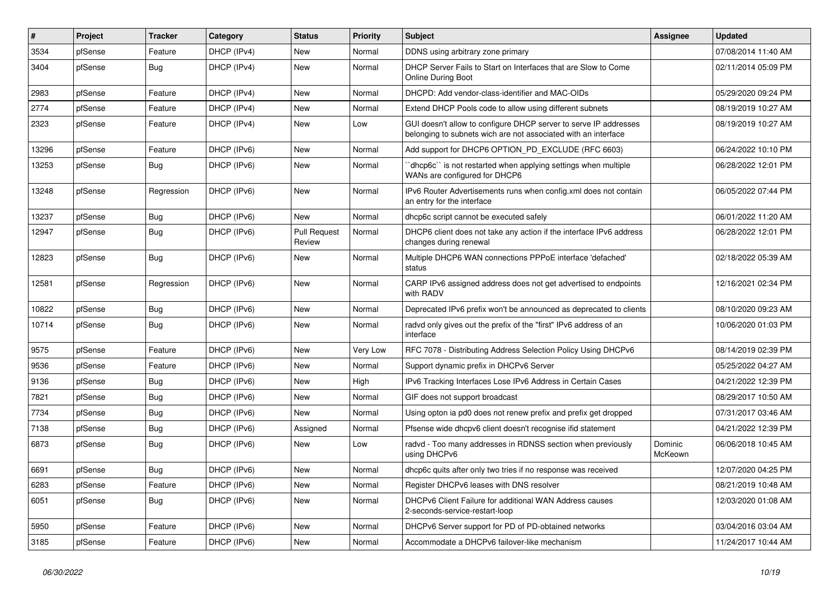| #     | Project | <b>Tracker</b> | Category    | <b>Status</b>                 | <b>Priority</b> | <b>Subject</b>                                                                                                                     | Assignee           | <b>Updated</b>      |
|-------|---------|----------------|-------------|-------------------------------|-----------------|------------------------------------------------------------------------------------------------------------------------------------|--------------------|---------------------|
| 3534  | pfSense | Feature        | DHCP (IPv4) | <b>New</b>                    | Normal          | DDNS using arbitrary zone primary                                                                                                  |                    | 07/08/2014 11:40 AM |
| 3404  | pfSense | <b>Bug</b>     | DHCP (IPv4) | New                           | Normal          | DHCP Server Fails to Start on Interfaces that are Slow to Come<br><b>Online During Boot</b>                                        |                    | 02/11/2014 05:09 PM |
| 2983  | pfSense | Feature        | DHCP (IPv4) | <b>New</b>                    | Normal          | DHCPD: Add vendor-class-identifier and MAC-OIDs                                                                                    |                    | 05/29/2020 09:24 PM |
| 2774  | pfSense | Feature        | DHCP (IPv4) | <b>New</b>                    | Normal          | Extend DHCP Pools code to allow using different subnets                                                                            |                    | 08/19/2019 10:27 AM |
| 2323  | pfSense | Feature        | DHCP (IPv4) | New                           | Low             | GUI doesn't allow to configure DHCP server to serve IP addresses<br>belonging to subnets wich are not associated with an interface |                    | 08/19/2019 10:27 AM |
| 13296 | pfSense | Feature        | DHCP (IPv6) | <b>New</b>                    | Normal          | Add support for DHCP6 OPTION_PD_EXCLUDE (RFC 6603)                                                                                 |                    | 06/24/2022 10:10 PM |
| 13253 | pfSense | Bug            | DHCP (IPv6) | <b>New</b>                    | Normal          | dhcp6c" is not restarted when applying settings when multiple<br>WANs are configured for DHCP6                                     |                    | 06/28/2022 12:01 PM |
| 13248 | pfSense | Regression     | DHCP (IPv6) | New                           | Normal          | IPv6 Router Advertisements runs when config.xml does not contain<br>an entry for the interface                                     |                    | 06/05/2022 07:44 PM |
| 13237 | pfSense | <b>Bug</b>     | DHCP (IPv6) | New                           | Normal          | dhcp6c script cannot be executed safely                                                                                            |                    | 06/01/2022 11:20 AM |
| 12947 | pfSense | Bug            | DHCP (IPv6) | <b>Pull Request</b><br>Review | Normal          | DHCP6 client does not take any action if the interface IPv6 address<br>changes during renewal                                      |                    | 06/28/2022 12:01 PM |
| 12823 | pfSense | <b>Bug</b>     | DHCP (IPv6) | <b>New</b>                    | Normal          | Multiple DHCP6 WAN connections PPPoE interface 'defached'<br>status                                                                |                    | 02/18/2022 05:39 AM |
| 12581 | pfSense | Regression     | DHCP (IPv6) | <b>New</b>                    | Normal          | CARP IPv6 assigned address does not get advertised to endpoints<br>with RADV                                                       |                    | 12/16/2021 02:34 PM |
| 10822 | pfSense | Bug            | DHCP (IPv6) | New                           | Normal          | Deprecated IPv6 prefix won't be announced as deprecated to clients                                                                 |                    | 08/10/2020 09:23 AM |
| 10714 | pfSense | <b>Bug</b>     | DHCP (IPv6) | <b>New</b>                    | Normal          | radvd only gives out the prefix of the "first" IPv6 address of an<br>interface                                                     |                    | 10/06/2020 01:03 PM |
| 9575  | pfSense | Feature        | DHCP (IPv6) | New                           | Very Low        | RFC 7078 - Distributing Address Selection Policy Using DHCPv6                                                                      |                    | 08/14/2019 02:39 PM |
| 9536  | pfSense | Feature        | DHCP (IPv6) | <b>New</b>                    | Normal          | Support dynamic prefix in DHCPv6 Server                                                                                            |                    | 05/25/2022 04:27 AM |
| 9136  | pfSense | Bug            | DHCP (IPv6) | <b>New</b>                    | High            | IPv6 Tracking Interfaces Lose IPv6 Address in Certain Cases                                                                        |                    | 04/21/2022 12:39 PM |
| 7821  | pfSense | <b>Bug</b>     | DHCP (IPv6) | <b>New</b>                    | Normal          | GIF does not support broadcast                                                                                                     |                    | 08/29/2017 10:50 AM |
| 7734  | pfSense | <b>Bug</b>     | DHCP (IPv6) | New                           | Normal          | Using opton ia pd0 does not renew prefix and prefix get dropped                                                                    |                    | 07/31/2017 03:46 AM |
| 7138  | pfSense | <b>Bug</b>     | DHCP (IPv6) | Assigned                      | Normal          | Pfsense wide dhcpv6 client doesn't recognise ifid statement                                                                        |                    | 04/21/2022 12:39 PM |
| 6873  | pfSense | Bug            | DHCP (IPv6) | New                           | Low             | radvd - Too many addresses in RDNSS section when previously<br>using DHCPv6                                                        | Dominic<br>McKeown | 06/06/2018 10:45 AM |
| 6691  | pfSense | Bug            | DHCP (IPv6) | New                           | Normal          | dhcp6c quits after only two tries if no response was received                                                                      |                    | 12/07/2020 04:25 PM |
| 6283  | pfSense | Feature        | DHCP (IPv6) | <b>New</b>                    | Normal          | Register DHCPv6 leases with DNS resolver                                                                                           |                    | 08/21/2019 10:48 AM |
| 6051  | pfSense | Bug            | DHCP (IPv6) | <b>New</b>                    | Normal          | DHCPv6 Client Failure for additional WAN Address causes<br>2-seconds-service-restart-loop                                          |                    | 12/03/2020 01:08 AM |
| 5950  | pfSense | Feature        | DHCP (IPv6) | <b>New</b>                    | Normal          | DHCPv6 Server support for PD of PD-obtained networks                                                                               |                    | 03/04/2016 03:04 AM |
| 3185  | pfSense | Feature        | DHCP (IPv6) | <b>New</b>                    | Normal          | Accommodate a DHCPv6 failover-like mechanism                                                                                       |                    | 11/24/2017 10:44 AM |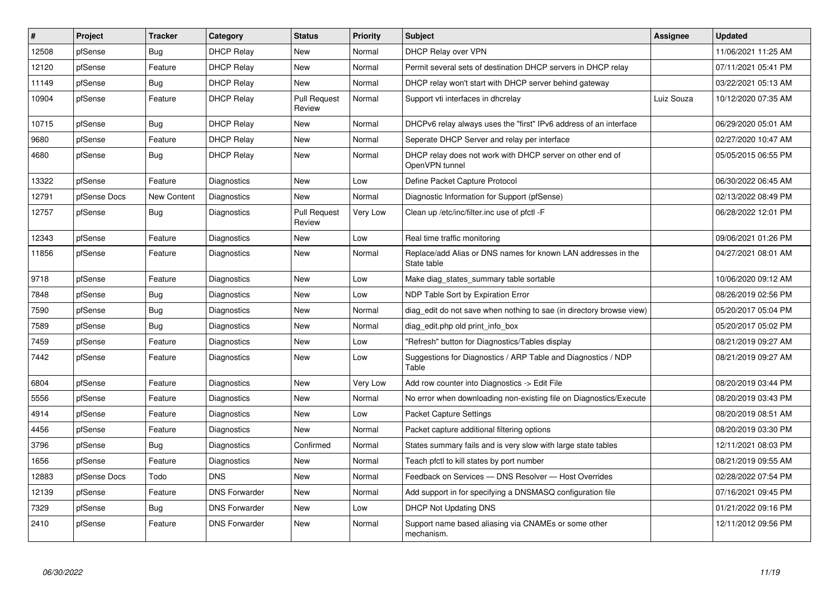| $\vert$ # | Project      | <b>Tracker</b> | Category             | <b>Status</b>                 | Priority | <b>Subject</b>                                                               | Assignee   | <b>Updated</b>      |
|-----------|--------------|----------------|----------------------|-------------------------------|----------|------------------------------------------------------------------------------|------------|---------------------|
| 12508     | pfSense      | <b>Bug</b>     | <b>DHCP Relay</b>    | <b>New</b>                    | Normal   | DHCP Relay over VPN                                                          |            | 11/06/2021 11:25 AM |
| 12120     | pfSense      | Feature        | <b>DHCP Relay</b>    | New                           | Normal   | Permit several sets of destination DHCP servers in DHCP relay                |            | 07/11/2021 05:41 PM |
| 11149     | pfSense      | <b>Bug</b>     | <b>DHCP Relay</b>    | <b>New</b>                    | Normal   | DHCP relay won't start with DHCP server behind gateway                       |            | 03/22/2021 05:13 AM |
| 10904     | pfSense      | Feature        | <b>DHCP Relay</b>    | <b>Pull Request</b><br>Review | Normal   | Support vti interfaces in dhcrelay                                           | Luiz Souza | 10/12/2020 07:35 AM |
| 10715     | pfSense      | <b>Bug</b>     | <b>DHCP Relay</b>    | <b>New</b>                    | Normal   | DHCPv6 relay always uses the "first" IPv6 address of an interface            |            | 06/29/2020 05:01 AM |
| 9680      | pfSense      | Feature        | <b>DHCP Relay</b>    | <b>New</b>                    | Normal   | Seperate DHCP Server and relay per interface                                 |            | 02/27/2020 10:47 AM |
| 4680      | pfSense      | <b>Bug</b>     | <b>DHCP Relay</b>    | <b>New</b>                    | Normal   | DHCP relay does not work with DHCP server on other end of<br>OpenVPN tunnel  |            | 05/05/2015 06:55 PM |
| 13322     | pfSense      | Feature        | Diagnostics          | <b>New</b>                    | Low      | Define Packet Capture Protocol                                               |            | 06/30/2022 06:45 AM |
| 12791     | pfSense Docs | New Content    | Diagnostics          | <b>New</b>                    | Normal   | Diagnostic Information for Support (pfSense)                                 |            | 02/13/2022 08:49 PM |
| 12757     | pfSense      | Bug            | Diagnostics          | <b>Pull Request</b><br>Review | Very Low | Clean up /etc/inc/filter.inc use of pfctl -F                                 |            | 06/28/2022 12:01 PM |
| 12343     | pfSense      | Feature        | Diagnostics          | <b>New</b>                    | Low      | Real time traffic monitoring                                                 |            | 09/06/2021 01:26 PM |
| 11856     | pfSense      | Feature        | Diagnostics          | <b>New</b>                    | Normal   | Replace/add Alias or DNS names for known LAN addresses in the<br>State table |            | 04/27/2021 08:01 AM |
| 9718      | pfSense      | Feature        | Diagnostics          | <b>New</b>                    | Low      | Make diag states summary table sortable                                      |            | 10/06/2020 09:12 AM |
| 7848      | pfSense      | <b>Bug</b>     | Diagnostics          | New                           | Low      | NDP Table Sort by Expiration Error                                           |            | 08/26/2019 02:56 PM |
| 7590      | pfSense      | <b>Bug</b>     | Diagnostics          | New                           | Normal   | diag edit do not save when nothing to sae (in directory browse view)         |            | 05/20/2017 05:04 PM |
| 7589      | pfSense      | Bug            | Diagnostics          | <b>New</b>                    | Normal   | diag_edit.php old print_info_box                                             |            | 05/20/2017 05:02 PM |
| 7459      | pfSense      | Feature        | Diagnostics          | <b>New</b>                    | Low      | "Refresh" button for Diagnostics/Tables display                              |            | 08/21/2019 09:27 AM |
| 7442      | pfSense      | Feature        | Diagnostics          | <b>New</b>                    | Low      | Suggestions for Diagnostics / ARP Table and Diagnostics / NDP<br>Table       |            | 08/21/2019 09:27 AM |
| 6804      | pfSense      | Feature        | Diagnostics          | <b>New</b>                    | Very Low | Add row counter into Diagnostics -> Edit File                                |            | 08/20/2019 03:44 PM |
| 5556      | pfSense      | Feature        | Diagnostics          | <b>New</b>                    | Normal   | No error when downloading non-existing file on Diagnostics/Execute           |            | 08/20/2019 03:43 PM |
| 4914      | pfSense      | Feature        | Diagnostics          | <b>New</b>                    | Low      | Packet Capture Settings                                                      |            | 08/20/2019 08:51 AM |
| 4456      | pfSense      | Feature        | Diagnostics          | <b>New</b>                    | Normal   | Packet capture additional filtering options                                  |            | 08/20/2019 03:30 PM |
| 3796      | pfSense      | <b>Bug</b>     | Diagnostics          | Confirmed                     | Normal   | States summary fails and is very slow with large state tables                |            | 12/11/2021 08:03 PM |
| 1656      | pfSense      | Feature        | Diagnostics          | New                           | Normal   | Teach pfctl to kill states by port number                                    |            | 08/21/2019 09:55 AM |
| 12883     | pfSense Docs | Todo           | <b>DNS</b>           | <b>New</b>                    | Normal   | Feedback on Services - DNS Resolver - Host Overrides                         |            | 02/28/2022 07:54 PM |
| 12139     | pfSense      | Feature        | <b>DNS Forwarder</b> | New                           | Normal   | Add support in for specifying a DNSMASQ configuration file                   |            | 07/16/2021 09:45 PM |
| 7329      | pfSense      | Bug            | <b>DNS Forwarder</b> | New                           | Low      | <b>DHCP Not Updating DNS</b>                                                 |            | 01/21/2022 09:16 PM |
| 2410      | pfSense      | Feature        | <b>DNS Forwarder</b> | <b>New</b>                    | Normal   | Support name based aliasing via CNAMEs or some other<br>mechanism.           |            | 12/11/2012 09:56 PM |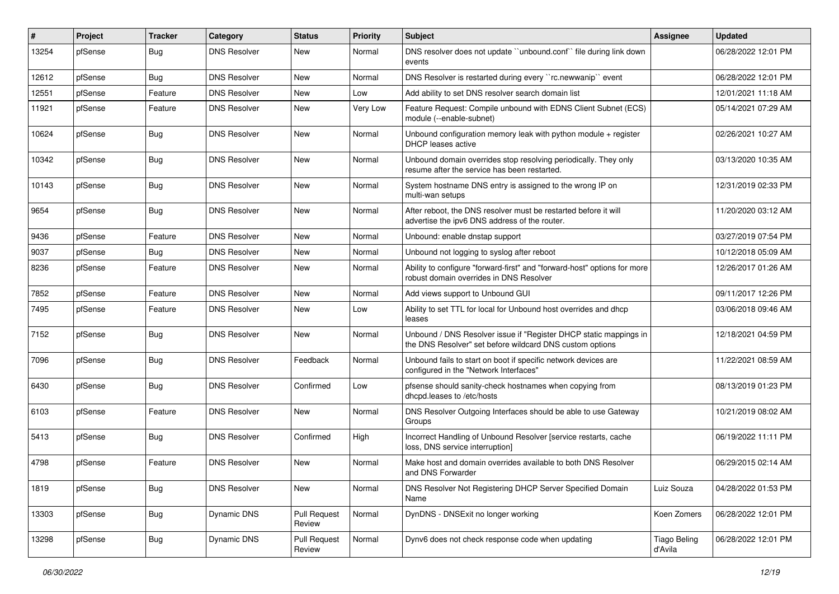| $\vert$ # | Project | <b>Tracker</b> | Category            | <b>Status</b>                 | <b>Priority</b> | Subject                                                                                                                       | Assignee                       | <b>Updated</b>      |
|-----------|---------|----------------|---------------------|-------------------------------|-----------------|-------------------------------------------------------------------------------------------------------------------------------|--------------------------------|---------------------|
| 13254     | pfSense | Bug            | <b>DNS Resolver</b> | New                           | Normal          | DNS resolver does not update "unbound.conf" file during link down<br>events                                                   |                                | 06/28/2022 12:01 PM |
| 12612     | pfSense | Bug            | <b>DNS Resolver</b> | New                           | Normal          | DNS Resolver is restarted during every "rc.newwanip" event                                                                    |                                | 06/28/2022 12:01 PM |
| 12551     | pfSense | Feature        | <b>DNS Resolver</b> | New                           | Low             | Add ability to set DNS resolver search domain list                                                                            |                                | 12/01/2021 11:18 AM |
| 11921     | pfSense | Feature        | <b>DNS Resolver</b> | New                           | Very Low        | Feature Request: Compile unbound with EDNS Client Subnet (ECS)<br>module (--enable-subnet)                                    |                                | 05/14/2021 07:29 AM |
| 10624     | pfSense | <b>Bug</b>     | <b>DNS Resolver</b> | New                           | Normal          | Unbound configuration memory leak with python module $+$ register<br><b>DHCP</b> leases active                                |                                | 02/26/2021 10:27 AM |
| 10342     | pfSense | Bug            | <b>DNS Resolver</b> | <b>New</b>                    | Normal          | Unbound domain overrides stop resolving periodically. They only<br>resume after the service has been restarted.               |                                | 03/13/2020 10:35 AM |
| 10143     | pfSense | Bug            | <b>DNS Resolver</b> | New                           | Normal          | System hostname DNS entry is assigned to the wrong IP on<br>multi-wan setups                                                  |                                | 12/31/2019 02:33 PM |
| 9654      | pfSense | Bug            | <b>DNS Resolver</b> | <b>New</b>                    | Normal          | After reboot, the DNS resolver must be restarted before it will<br>advertise the ipv6 DNS address of the router.              |                                | 11/20/2020 03:12 AM |
| 9436      | pfSense | Feature        | <b>DNS Resolver</b> | <b>New</b>                    | Normal          | Unbound: enable dnstap support                                                                                                |                                | 03/27/2019 07:54 PM |
| 9037      | pfSense | Bug            | <b>DNS Resolver</b> | <b>New</b>                    | Normal          | Unbound not logging to syslog after reboot                                                                                    |                                | 10/12/2018 05:09 AM |
| 8236      | pfSense | Feature        | <b>DNS Resolver</b> | <b>New</b>                    | Normal          | Ability to configure "forward-first" and "forward-host" options for more<br>robust domain overrides in DNS Resolver           |                                | 12/26/2017 01:26 AM |
| 7852      | pfSense | Feature        | <b>DNS Resolver</b> | <b>New</b>                    | Normal          | Add views support to Unbound GUI                                                                                              |                                | 09/11/2017 12:26 PM |
| 7495      | pfSense | Feature        | <b>DNS Resolver</b> | New                           | Low             | Ability to set TTL for local for Unbound host overrides and dhcp<br>leases                                                    |                                | 03/06/2018 09:46 AM |
| 7152      | pfSense | Bug            | <b>DNS Resolver</b> | New                           | Normal          | Unbound / DNS Resolver issue if "Register DHCP static mappings in<br>the DNS Resolver" set before wildcard DNS custom options |                                | 12/18/2021 04:59 PM |
| 7096      | pfSense | <b>Bug</b>     | <b>DNS Resolver</b> | Feedback                      | Normal          | Unbound fails to start on boot if specific network devices are<br>configured in the "Network Interfaces"                      |                                | 11/22/2021 08:59 AM |
| 6430      | pfSense | Bug            | <b>DNS Resolver</b> | Confirmed                     | Low             | pfsense should sanity-check hostnames when copying from<br>dhcpd.leases to /etc/hosts                                         |                                | 08/13/2019 01:23 PM |
| 6103      | pfSense | Feature        | <b>DNS Resolver</b> | <b>New</b>                    | Normal          | DNS Resolver Outgoing Interfaces should be able to use Gateway<br>Groups                                                      |                                | 10/21/2019 08:02 AM |
| 5413      | pfSense | <b>Bug</b>     | <b>DNS Resolver</b> | Confirmed                     | High            | Incorrect Handling of Unbound Resolver [service restarts, cache<br>loss, DNS service interruption]                            |                                | 06/19/2022 11:11 PM |
| 4798      | pfSense | Feature        | <b>DNS Resolver</b> | <b>New</b>                    | Normal          | Make host and domain overrides available to both DNS Resolver<br>and DNS Forwarder                                            |                                | 06/29/2015 02:14 AM |
| 1819      | pfSense | <b>Bug</b>     | <b>DNS Resolver</b> | New                           | Normal          | DNS Resolver Not Registering DHCP Server Specified Domain<br>Name                                                             | Luiz Souza                     | 04/28/2022 01:53 PM |
| 13303     | pfSense | Bug            | Dynamic DNS         | Pull Request<br>Review        | Normal          | DynDNS - DNSExit no longer working                                                                                            | Koen Zomers                    | 06/28/2022 12:01 PM |
| 13298     | pfSense | Bug            | Dynamic DNS         | <b>Pull Request</b><br>Review | Normal          | Dynv6 does not check response code when updating                                                                              | <b>Tiago Beling</b><br>d'Avila | 06/28/2022 12:01 PM |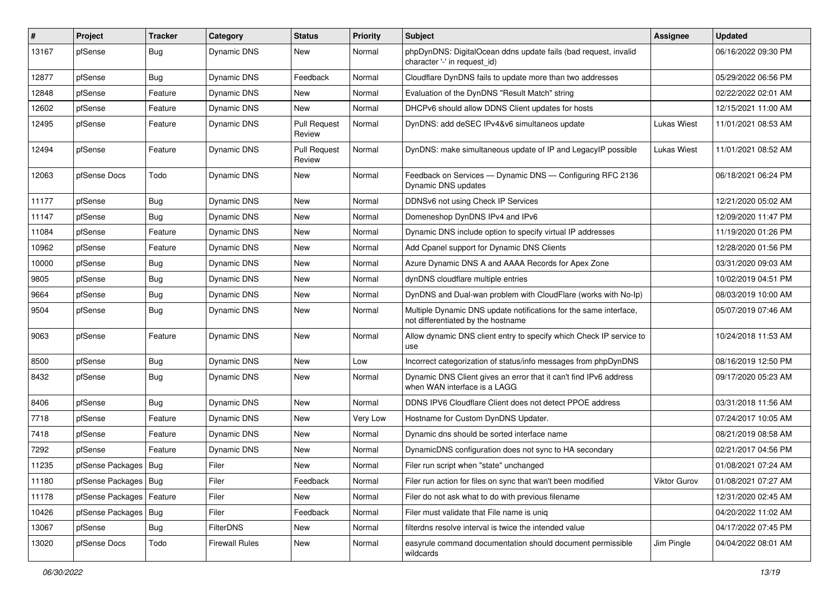| #     | Project                    | <b>Tracker</b> | Category              | <b>Status</b>                 | <b>Priority</b> | Subject                                                                                                 | Assignee     | <b>Updated</b>      |
|-------|----------------------------|----------------|-----------------------|-------------------------------|-----------------|---------------------------------------------------------------------------------------------------------|--------------|---------------------|
| 13167 | pfSense                    | <b>Bug</b>     | Dynamic DNS           | New                           | Normal          | phpDynDNS: DigitalOcean ddns update fails (bad request, invalid<br>character '-' in request id)         |              | 06/16/2022 09:30 PM |
| 12877 | pfSense                    | Bug            | Dynamic DNS           | Feedback                      | Normal          | Cloudflare DynDNS fails to update more than two addresses                                               |              | 05/29/2022 06:56 PM |
| 12848 | pfSense                    | Feature        | Dynamic DNS           | <b>New</b>                    | Normal          | Evaluation of the DynDNS "Result Match" string                                                          |              | 02/22/2022 02:01 AM |
| 12602 | pfSense                    | Feature        | Dynamic DNS           | <b>New</b>                    | Normal          | DHCPv6 should allow DDNS Client updates for hosts                                                       |              | 12/15/2021 11:00 AM |
| 12495 | pfSense                    | Feature        | Dynamic DNS           | <b>Pull Request</b><br>Review | Normal          | DynDNS: add deSEC IPv4&v6 simultaneos update                                                            | Lukas Wiest  | 11/01/2021 08:53 AM |
| 12494 | pfSense                    | Feature        | Dynamic DNS           | <b>Pull Request</b><br>Review | Normal          | DynDNS: make simultaneous update of IP and LegacyIP possible                                            | Lukas Wiest  | 11/01/2021 08:52 AM |
| 12063 | pfSense Docs               | Todo           | Dynamic DNS           | New                           | Normal          | Feedback on Services - Dynamic DNS - Configuring RFC 2136<br><b>Dynamic DNS updates</b>                 |              | 06/18/2021 06:24 PM |
| 11177 | pfSense                    | <b>Bug</b>     | Dynamic DNS           | <b>New</b>                    | Normal          | DDNSv6 not using Check IP Services                                                                      |              | 12/21/2020 05:02 AM |
| 11147 | pfSense                    | <b>Bug</b>     | Dynamic DNS           | New                           | Normal          | Domeneshop DynDNS IPv4 and IPv6                                                                         |              | 12/09/2020 11:47 PM |
| 11084 | pfSense                    | Feature        | Dynamic DNS           | New                           | Normal          | Dynamic DNS include option to specify virtual IP addresses                                              |              | 11/19/2020 01:26 PM |
| 10962 | pfSense                    | Feature        | Dynamic DNS           | New                           | Normal          | Add Cpanel support for Dynamic DNS Clients                                                              |              | 12/28/2020 01:56 PM |
| 10000 | pfSense                    | <b>Bug</b>     | Dynamic DNS           | <b>New</b>                    | Normal          | Azure Dynamic DNS A and AAAA Records for Apex Zone                                                      |              | 03/31/2020 09:03 AM |
| 9805  | pfSense                    | <b>Bug</b>     | Dynamic DNS           | New                           | Normal          | dynDNS cloudflare multiple entries                                                                      |              | 10/02/2019 04:51 PM |
| 9664  | pfSense                    | <b>Bug</b>     | Dynamic DNS           | <b>New</b>                    | Normal          | DynDNS and Dual-wan problem with CloudFlare (works with No-Ip)                                          |              | 08/03/2019 10:00 AM |
| 9504  | pfSense                    | Bug            | Dynamic DNS           | New                           | Normal          | Multiple Dynamic DNS update notifications for the same interface,<br>not differentiated by the hostname |              | 05/07/2019 07:46 AM |
| 9063  | pfSense                    | Feature        | Dynamic DNS           | <b>New</b>                    | Normal          | Allow dynamic DNS client entry to specify which Check IP service to<br>use                              |              | 10/24/2018 11:53 AM |
| 8500  | pfSense                    | <b>Bug</b>     | Dynamic DNS           | New                           | Low             | Incorrect categorization of status/info messages from phpDynDNS                                         |              | 08/16/2019 12:50 PM |
| 8432  | pfSense                    | <b>Bug</b>     | Dynamic DNS           | New                           | Normal          | Dynamic DNS Client gives an error that it can't find IPv6 address<br>when WAN interface is a LAGG       |              | 09/17/2020 05:23 AM |
| 8406  | pfSense                    | <b>Bug</b>     | Dynamic DNS           | <b>New</b>                    | Normal          | DDNS IPV6 Cloudflare Client does not detect PPOE address                                                |              | 03/31/2018 11:56 AM |
| 7718  | pfSense                    | Feature        | Dynamic DNS           | New                           | Very Low        | Hostname for Custom DynDNS Updater.                                                                     |              | 07/24/2017 10:05 AM |
| 7418  | pfSense                    | Feature        | Dynamic DNS           | New                           | Normal          | Dynamic dns should be sorted interface name                                                             |              | 08/21/2019 08:58 AM |
| 7292  | pfSense                    | Feature        | Dynamic DNS           | New                           | Normal          | DynamicDNS configuration does not sync to HA secondary                                                  |              | 02/21/2017 04:56 PM |
| 11235 | pfSense Packages   Bug     |                | Filer                 | <b>New</b>                    | Normal          | Filer run script when "state" unchanged                                                                 |              | 01/08/2021 07:24 AM |
| 11180 | pfSense Packages   Bug     |                | Filer                 | Feedback                      | Normal          | Filer run action for files on sync that wan't been modified                                             | Viktor Gurov | 01/08/2021 07:27 AM |
| 11178 | pfSense Packages   Feature |                | Filer                 | New                           | Normal          | Filer do not ask what to do with previous filename                                                      |              | 12/31/2020 02:45 AM |
| 10426 | pfSense Packages   Bug     |                | Filer                 | Feedback                      | Normal          | Filer must validate that File name is uniq                                                              |              | 04/20/2022 11:02 AM |
| 13067 | pfSense                    | <b>Bug</b>     | <b>FilterDNS</b>      | New                           | Normal          | filterdns resolve interval is twice the intended value                                                  |              | 04/17/2022 07:45 PM |
| 13020 | pfSense Docs               | Todo           | <b>Firewall Rules</b> | New                           | Normal          | easyrule command documentation should document permissible<br>wildcards                                 | Jim Pingle   | 04/04/2022 08:01 AM |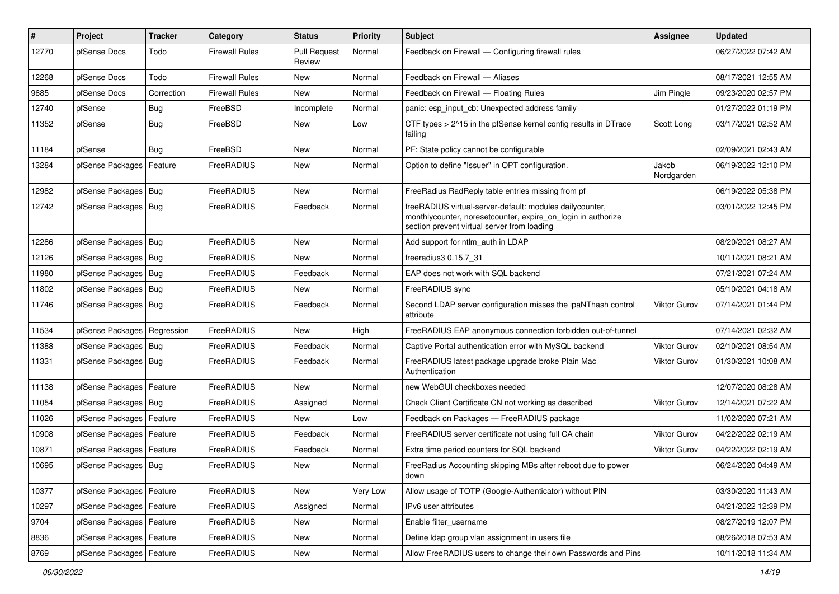| #     | Project                    | <b>Tracker</b> | Category              | <b>Status</b>                 | <b>Priority</b> | <b>Subject</b>                                                                                                                                                          | <b>Assignee</b>     | <b>Updated</b>      |
|-------|----------------------------|----------------|-----------------------|-------------------------------|-----------------|-------------------------------------------------------------------------------------------------------------------------------------------------------------------------|---------------------|---------------------|
| 12770 | pfSense Docs               | Todo           | <b>Firewall Rules</b> | <b>Pull Request</b><br>Review | Normal          | Feedback on Firewall - Configuring firewall rules                                                                                                                       |                     | 06/27/2022 07:42 AM |
| 12268 | pfSense Docs               | Todo           | <b>Firewall Rules</b> | New                           | Normal          | Feedback on Firewall - Aliases                                                                                                                                          |                     | 08/17/2021 12:55 AM |
| 9685  | pfSense Docs               | Correction     | Firewall Rules        | New                           | Normal          | Feedback on Firewall - Floating Rules                                                                                                                                   | Jim Pingle          | 09/23/2020 02:57 PM |
| 12740 | pfSense                    | Bug            | FreeBSD               | Incomplete                    | Normal          | panic: esp_input_cb: Unexpected address family                                                                                                                          |                     | 01/27/2022 01:19 PM |
| 11352 | pfSense                    | <b>Bug</b>     | FreeBSD               | <b>New</b>                    | Low             | CTF types $> 215$ in the pfSense kernel config results in DTrace<br>failing                                                                                             | Scott Long          | 03/17/2021 02:52 AM |
| 11184 | pfSense                    | Bug            | FreeBSD               | <b>New</b>                    | Normal          | PF: State policy cannot be configurable                                                                                                                                 |                     | 02/09/2021 02:43 AM |
| 13284 | pfSense Packages           | Feature        | FreeRADIUS            | <b>New</b>                    | Normal          | Option to define "Issuer" in OPT configuration.                                                                                                                         | Jakob<br>Nordgarden | 06/19/2022 12:10 PM |
| 12982 | pfSense Packages   Bug     |                | FreeRADIUS            | New                           | Normal          | FreeRadius RadReply table entries missing from pf                                                                                                                       |                     | 06/19/2022 05:38 PM |
| 12742 | pfSense Packages   Bug     |                | FreeRADIUS            | Feedback                      | Normal          | freeRADIUS virtual-server-default: modules dailycounter,<br>monthlycounter, noresetcounter, expire_on_login in authorize<br>section prevent virtual server from loading |                     | 03/01/2022 12:45 PM |
| 12286 | pfSense Packages   Bug     |                | FreeRADIUS            | <b>New</b>                    | Normal          | Add support for ntlm auth in LDAP                                                                                                                                       |                     | 08/20/2021 08:27 AM |
| 12126 | pfSense Packages           | Bug            | FreeRADIUS            | <b>New</b>                    | Normal          | freeradius3 0.15.7 31                                                                                                                                                   |                     | 10/11/2021 08:21 AM |
| 11980 | pfSense Packages   Bug     |                | FreeRADIUS            | Feedback                      | Normal          | EAP does not work with SQL backend                                                                                                                                      |                     | 07/21/2021 07:24 AM |
| 11802 | pfSense Packages   Bug     |                | FreeRADIUS            | New                           | Normal          | FreeRADIUS sync                                                                                                                                                         |                     | 05/10/2021 04:18 AM |
| 11746 | pfSense Packages   Bug     |                | FreeRADIUS            | Feedback                      | Normal          | Second LDAP server configuration misses the ipaNThash control<br>attribute                                                                                              | <b>Viktor Gurov</b> | 07/14/2021 01:44 PM |
| 11534 | pfSense Packages           | Regression     | FreeRADIUS            | <b>New</b>                    | High            | FreeRADIUS EAP anonymous connection forbidden out-of-tunnel                                                                                                             |                     | 07/14/2021 02:32 AM |
| 11388 | pfSense Packages   Bug     |                | FreeRADIUS            | Feedback                      | Normal          | Captive Portal authentication error with MySQL backend                                                                                                                  | <b>Viktor Gurov</b> | 02/10/2021 08:54 AM |
| 11331 | pfSense Packages   Bug     |                | FreeRADIUS            | Feedback                      | Normal          | FreeRADIUS latest package upgrade broke Plain Mac<br>Authentication                                                                                                     | <b>Viktor Gurov</b> | 01/30/2021 10:08 AM |
| 11138 | pfSense Packages           | Feature        | FreeRADIUS            | <b>New</b>                    | Normal          | new WebGUI checkboxes needed                                                                                                                                            |                     | 12/07/2020 08:28 AM |
| 11054 | pfSense Packages   Bug     |                | FreeRADIUS            | Assigned                      | Normal          | Check Client Certificate CN not working as described                                                                                                                    | <b>Viktor Gurov</b> | 12/14/2021 07:22 AM |
| 11026 | pfSense Packages           | Feature        | FreeRADIUS            | New                           | Low             | Feedback on Packages - FreeRADIUS package                                                                                                                               |                     | 11/02/2020 07:21 AM |
| 10908 | pfSense Packages           | Feature        | FreeRADIUS            | Feedback                      | Normal          | FreeRADIUS server certificate not using full CA chain                                                                                                                   | <b>Viktor Gurov</b> | 04/22/2022 02:19 AM |
| 10871 | pfSense Packages           | Feature        | FreeRADIUS            | Feedback                      | Normal          | Extra time period counters for SQL backend                                                                                                                              | Viktor Gurov        | 04/22/2022 02:19 AM |
| 10695 | pfSense Packages   Bug     |                | FreeRADIUS            | New                           | Normal          | FreeRadius Accounting skipping MBs after reboot due to power<br>aown                                                                                                    |                     | 06/24/2020 04:49 AM |
| 10377 | pfSense Packages           | Feature        | FreeRADIUS            | New                           | Very Low        | Allow usage of TOTP (Google-Authenticator) without PIN                                                                                                                  |                     | 03/30/2020 11:43 AM |
| 10297 | pfSense Packages           | Feature        | FreeRADIUS            | Assigned                      | Normal          | IPv6 user attributes                                                                                                                                                    |                     | 04/21/2022 12:39 PM |
| 9704  | pfSense Packages           | Feature        | FreeRADIUS            | New                           | Normal          | Enable filter_username                                                                                                                                                  |                     | 08/27/2019 12:07 PM |
| 8836  | pfSense Packages   Feature |                | FreeRADIUS            | New                           | Normal          | Define Idap group vlan assignment in users file                                                                                                                         |                     | 08/26/2018 07:53 AM |
| 8769  | pfSense Packages   Feature |                | FreeRADIUS            | New                           | Normal          | Allow FreeRADIUS users to change their own Passwords and Pins                                                                                                           |                     | 10/11/2018 11:34 AM |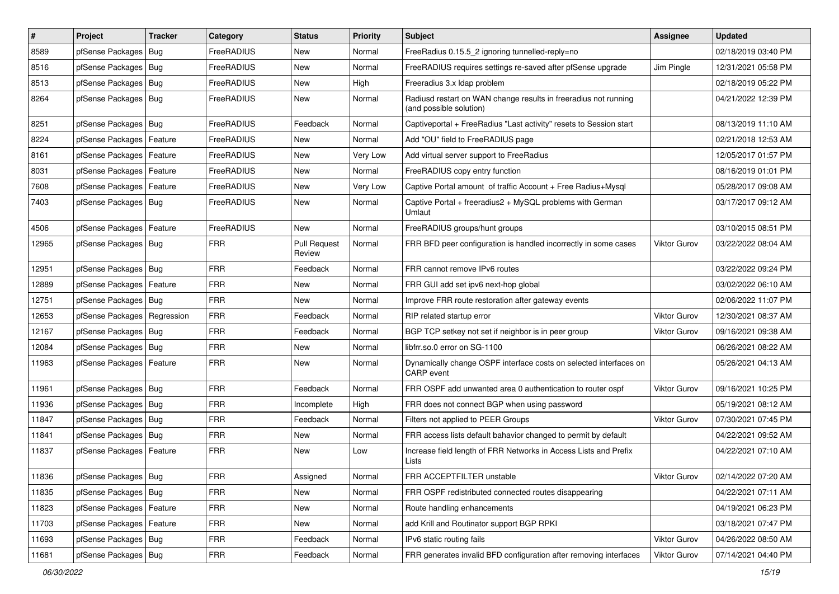| $\vert$ # | Project                    | <b>Tracker</b> | Category   | <b>Status</b>                 | <b>Priority</b> | Subject                                                                                    | <b>Assignee</b>     | <b>Updated</b>      |
|-----------|----------------------------|----------------|------------|-------------------------------|-----------------|--------------------------------------------------------------------------------------------|---------------------|---------------------|
| 8589      | pfSense Packages           | Bug            | FreeRADIUS | New                           | Normal          | FreeRadius 0.15.5 2 ignoring tunnelled-reply=no                                            |                     | 02/18/2019 03:40 PM |
| 8516      | pfSense Packages           | Bug            | FreeRADIUS | <b>New</b>                    | Normal          | FreeRADIUS requires settings re-saved after pfSense upgrade                                | Jim Pingle          | 12/31/2021 05:58 PM |
| 8513      | pfSense Packages           | Bug            | FreeRADIUS | New                           | High            | Freeradius 3.x Idap problem                                                                |                     | 02/18/2019 05:22 PM |
| 8264      | pfSense Packages   Bug     |                | FreeRADIUS | <b>New</b>                    | Normal          | Radiusd restart on WAN change results in freeradius not running<br>(and possible solution) |                     | 04/21/2022 12:39 PM |
| 8251      | pfSense Packages           | Bug            | FreeRADIUS | Feedback                      | Normal          | Captiveportal + FreeRadius "Last activity" resets to Session start                         |                     | 08/13/2019 11:10 AM |
| 8224      | pfSense Packages   Feature |                | FreeRADIUS | <b>New</b>                    | Normal          | Add "OU" field to FreeRADIUS page                                                          |                     | 02/21/2018 12:53 AM |
| 8161      | pfSense Packages           | Feature        | FreeRADIUS | <b>New</b>                    | Very Low        | Add virtual server support to FreeRadius                                                   |                     | 12/05/2017 01:57 PM |
| 8031      | pfSense Packages           | Feature        | FreeRADIUS | New                           | Normal          | FreeRADIUS copy entry function                                                             |                     | 08/16/2019 01:01 PM |
| 7608      | pfSense Packages           | Feature        | FreeRADIUS | <b>New</b>                    | Very Low        | Captive Portal amount of traffic Account + Free Radius+Mysql                               |                     | 05/28/2017 09:08 AM |
| 7403      | pfSense Packages   Bug     |                | FreeRADIUS | New                           | Normal          | Captive Portal + freeradius2 + MySQL problems with German<br>Umlaut                        |                     | 03/17/2017 09:12 AM |
| 4506      | pfSense Packages           | Feature        | FreeRADIUS | New                           | Normal          | FreeRADIUS groups/hunt groups                                                              |                     | 03/10/2015 08:51 PM |
| 12965     | pfSense Packages           | Bug            | <b>FRR</b> | <b>Pull Request</b><br>Review | Normal          | FRR BFD peer configuration is handled incorrectly in some cases                            | <b>Viktor Gurov</b> | 03/22/2022 08:04 AM |
| 12951     | pfSense Packages           | Bug            | <b>FRR</b> | Feedback                      | Normal          | FRR cannot remove IPv6 routes                                                              |                     | 03/22/2022 09:24 PM |
| 12889     | pfSense Packages           | Feature        | <b>FRR</b> | <b>New</b>                    | Normal          | FRR GUI add set ipv6 next-hop global                                                       |                     | 03/02/2022 06:10 AM |
| 12751     | pfSense Packages           | Bug            | <b>FRR</b> | <b>New</b>                    | Normal          | Improve FRR route restoration after gateway events                                         |                     | 02/06/2022 11:07 PM |
| 12653     | pfSense Packages           | Regression     | <b>FRR</b> | Feedback                      | Normal          | RIP related startup error                                                                  | <b>Viktor Gurov</b> | 12/30/2021 08:37 AM |
| 12167     | pfSense Packages   Bug     |                | <b>FRR</b> | Feedback                      | Normal          | BGP TCP setkey not set if neighbor is in peer group                                        | <b>Viktor Gurov</b> | 09/16/2021 09:38 AM |
| 12084     | pfSense Packages           | Bug            | <b>FRR</b> | <b>New</b>                    | Normal          | libfrr.so.0 error on SG-1100                                                               |                     | 06/26/2021 08:22 AM |
| 11963     | pfSense Packages           | Feature        | <b>FRR</b> | <b>New</b>                    | Normal          | Dynamically change OSPF interface costs on selected interfaces on<br>CARP event            |                     | 05/26/2021 04:13 AM |
| 11961     | pfSense Packages           | Bug            | <b>FRR</b> | Feedback                      | Normal          | FRR OSPF add unwanted area 0 authentication to router ospf                                 | Viktor Gurov        | 09/16/2021 10:25 PM |
| 11936     | pfSense Packages   Bug     |                | <b>FRR</b> | Incomplete                    | High            | FRR does not connect BGP when using password                                               |                     | 05/19/2021 08:12 AM |
| 11847     | pfSense Packages           | Bug            | <b>FRR</b> | Feedback                      | Normal          | Filters not applied to PEER Groups                                                         | <b>Viktor Gurov</b> | 07/30/2021 07:45 PM |
| 11841     | pfSense Packages           | <b>Bug</b>     | <b>FRR</b> | New                           | Normal          | FRR access lists default bahavior changed to permit by default                             |                     | 04/22/2021 09:52 AM |
| 11837     | pfSense Packages   Feature |                | <b>FRR</b> | <b>New</b>                    | Low             | Increase field length of FRR Networks in Access Lists and Prefix<br>Lists                  |                     | 04/22/2021 07:10 AM |
| 11836     | pfSense Packages   Bug     |                | <b>FRR</b> | Assigned                      | Normal          | FRR ACCEPTFILTER unstable                                                                  | Viktor Gurov        | 02/14/2022 07:20 AM |
| 11835     | pfSense Packages           | Bug            | <b>FRR</b> | New                           | Normal          | FRR OSPF redistributed connected routes disappearing                                       |                     | 04/22/2021 07:11 AM |
| 11823     | pfSense Packages           | Feature        | <b>FRR</b> | New                           | Normal          | Route handling enhancements                                                                |                     | 04/19/2021 06:23 PM |
| 11703     | pfSense Packages           | Feature        | <b>FRR</b> | New                           | Normal          | add Krill and Routinator support BGP RPKI                                                  |                     | 03/18/2021 07:47 PM |
| 11693     | pfSense Packages   Bug     |                | <b>FRR</b> | Feedback                      | Normal          | IPv6 static routing fails                                                                  | Viktor Gurov        | 04/26/2022 08:50 AM |
| 11681     | pfSense Packages   Bug     |                | FRR        | Feedback                      | Normal          | FRR generates invalid BFD configuration after removing interfaces                          | Viktor Gurov        | 07/14/2021 04:40 PM |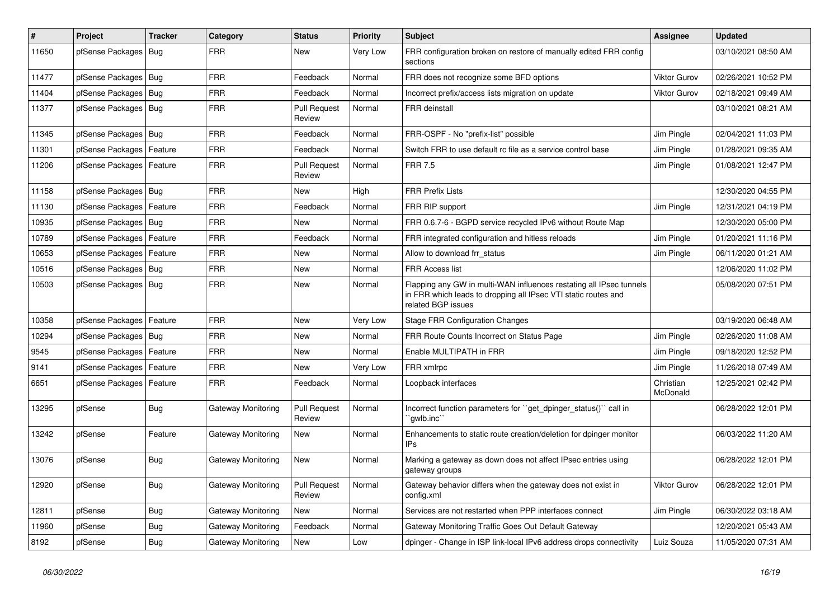| #     | Project                    | <b>Tracker</b> | Category                  | <b>Status</b>                 | <b>Priority</b> | <b>Subject</b>                                                                                                                                              | <b>Assignee</b>       | <b>Updated</b>      |
|-------|----------------------------|----------------|---------------------------|-------------------------------|-----------------|-------------------------------------------------------------------------------------------------------------------------------------------------------------|-----------------------|---------------------|
| 11650 | pfSense Packages           | Bug            | <b>FRR</b>                | <b>New</b>                    | <b>Very Low</b> | FRR configuration broken on restore of manually edited FRR config<br>sections                                                                               |                       | 03/10/2021 08:50 AM |
| 11477 | pfSense Packages           | <b>Bug</b>     | <b>FRR</b>                | Feedback                      | Normal          | FRR does not recognize some BFD options                                                                                                                     | Viktor Gurov          | 02/26/2021 10:52 PM |
| 11404 | pfSense Packages           | Bug            | <b>FRR</b>                | Feedback                      | Normal          | Incorrect prefix/access lists migration on update                                                                                                           | <b>Viktor Gurov</b>   | 02/18/2021 09:49 AM |
| 11377 | pfSense Packages           | <b>Bug</b>     | <b>FRR</b>                | <b>Pull Request</b><br>Review | Normal          | <b>FRR</b> deinstall                                                                                                                                        |                       | 03/10/2021 08:21 AM |
| 11345 | pfSense Packages           | Bug            | <b>FRR</b>                | Feedback                      | Normal          | FRR-OSPF - No "prefix-list" possible                                                                                                                        | Jim Pingle            | 02/04/2021 11:03 PM |
| 11301 | pfSense Packages           | Feature        | <b>FRR</b>                | Feedback                      | Normal          | Switch FRR to use default rc file as a service control base                                                                                                 | Jim Pingle            | 01/28/2021 09:35 AM |
| 11206 | pfSense Packages           | Feature        | <b>FRR</b>                | <b>Pull Request</b><br>Review | Normal          | <b>FRR 7.5</b>                                                                                                                                              | Jim Pingle            | 01/08/2021 12:47 PM |
| 11158 | pfSense Packages           | Bug            | <b>FRR</b>                | <b>New</b>                    | High            | <b>FRR Prefix Lists</b>                                                                                                                                     |                       | 12/30/2020 04:55 PM |
| 11130 | pfSense Packages           | Feature        | <b>FRR</b>                | Feedback                      | Normal          | FRR RIP support                                                                                                                                             | Jim Pingle            | 12/31/2021 04:19 PM |
| 10935 | pfSense Packages           | Bug            | <b>FRR</b>                | <b>New</b>                    | Normal          | FRR 0.6.7-6 - BGPD service recycled IPv6 without Route Map                                                                                                  |                       | 12/30/2020 05:00 PM |
| 10789 | pfSense Packages           | Feature        | <b>FRR</b>                | Feedback                      | Normal          | FRR integrated configuration and hitless reloads                                                                                                            | Jim Pingle            | 01/20/2021 11:16 PM |
| 10653 | pfSense Packages           | Feature        | <b>FRR</b>                | <b>New</b>                    | Normal          | Allow to download frr_status                                                                                                                                | Jim Pingle            | 06/11/2020 01:21 AM |
| 10516 | pfSense Packages           | Bug            | <b>FRR</b>                | <b>New</b>                    | Normal          | <b>FRR Access list</b>                                                                                                                                      |                       | 12/06/2020 11:02 PM |
| 10503 | pfSense Packages   Bug     |                | <b>FRR</b>                | <b>New</b>                    | Normal          | Flapping any GW in multi-WAN influences restating all IPsec tunnels<br>in FRR which leads to dropping all IPsec VTI static routes and<br>related BGP issues |                       | 05/08/2020 07:51 PM |
| 10358 | pfSense Packages           | Feature        | <b>FRR</b>                | <b>New</b>                    | Very Low        | <b>Stage FRR Configuration Changes</b>                                                                                                                      |                       | 03/19/2020 06:48 AM |
| 10294 | pfSense Packages           | Bug            | <b>FRR</b>                | <b>New</b>                    | Normal          | FRR Route Counts Incorrect on Status Page                                                                                                                   | Jim Pingle            | 02/26/2020 11:08 AM |
| 9545  | pfSense Packages           | Feature        | <b>FRR</b>                | <b>New</b>                    | Normal          | Enable MULTIPATH in FRR                                                                                                                                     | Jim Pingle            | 09/18/2020 12:52 PM |
| 9141  | pfSense Packages           | Feature        | <b>FRR</b>                | <b>New</b>                    | Very Low        | FRR xmlrpc                                                                                                                                                  | Jim Pingle            | 11/26/2018 07:49 AM |
| 6651  | pfSense Packages   Feature |                | <b>FRR</b>                | Feedback                      | Normal          | Loopback interfaces                                                                                                                                         | Christian<br>McDonald | 12/25/2021 02:42 PM |
| 13295 | pfSense                    | Bug            | Gateway Monitoring        | <b>Pull Request</b><br>Review | Normal          | Incorrect function parameters for "get dpinger status()" call in<br>`qwlb.inc`                                                                              |                       | 06/28/2022 12:01 PM |
| 13242 | pfSense                    | Feature        | Gateway Monitoring        | <b>New</b>                    | Normal          | Enhancements to static route creation/deletion for dpinger monitor<br>IPs                                                                                   |                       | 06/03/2022 11:20 AM |
| 13076 | pfSense                    | <b>Bug</b>     | Gateway Monitoring        | <b>New</b>                    | Normal          | Marking a gateway as down does not affect IPsec entries using<br>gateway groups                                                                             |                       | 06/28/2022 12:01 PM |
| 12920 | pfSense                    | <b>Bug</b>     | Gateway Monitoring        | <b>Pull Request</b><br>Review | Normal          | Gateway behavior differs when the gateway does not exist in<br>config.xml                                                                                   | Viktor Gurov          | 06/28/2022 12:01 PM |
| 12811 | pfSense                    | <b>Bug</b>     | Gateway Monitoring        | <b>New</b>                    | Normal          | Services are not restarted when PPP interfaces connect                                                                                                      | Jim Pingle            | 06/30/2022 03:18 AM |
| 11960 | pfSense                    | <b>Bug</b>     | Gateway Monitoring        | Feedback                      | Normal          | Gateway Monitoring Traffic Goes Out Default Gateway                                                                                                         |                       | 12/20/2021 05:43 AM |
| 8192  | pfSense                    | <b>Bug</b>     | <b>Gateway Monitoring</b> | <b>New</b>                    | Low             | dpinger - Change in ISP link-local IPv6 address drops connectivity                                                                                          | Luiz Souza            | 11/05/2020 07:31 AM |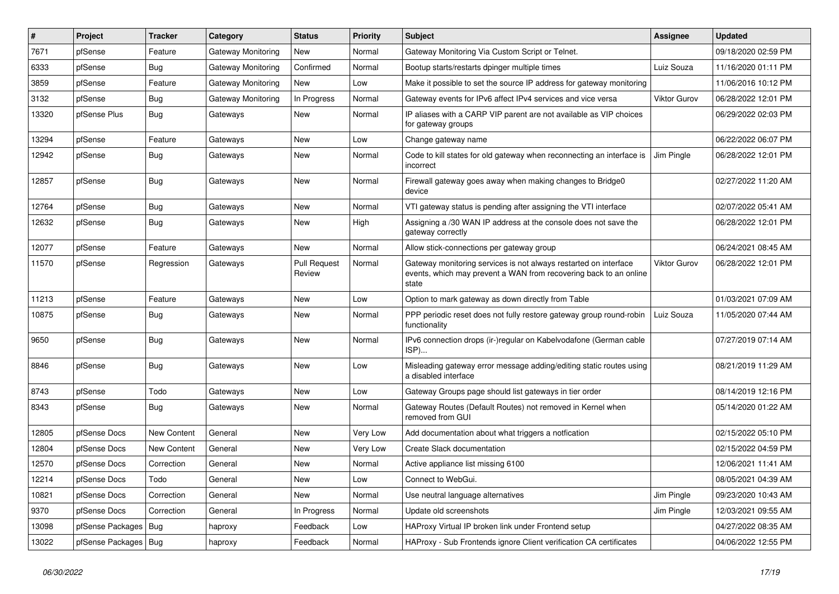| $\pmb{\#}$ | Project                | <b>Tracker</b>     | Category                  | <b>Status</b>                 | <b>Priority</b> | Subject                                                                                                                                        | Assignee            | <b>Updated</b>      |
|------------|------------------------|--------------------|---------------------------|-------------------------------|-----------------|------------------------------------------------------------------------------------------------------------------------------------------------|---------------------|---------------------|
| 7671       | pfSense                | Feature            | <b>Gateway Monitoring</b> | New                           | Normal          | Gateway Monitoring Via Custom Script or Telnet.                                                                                                |                     | 09/18/2020 02:59 PM |
| 6333       | pfSense                | Bug                | <b>Gateway Monitoring</b> | Confirmed                     | Normal          | Bootup starts/restarts dpinger multiple times                                                                                                  | Luiz Souza          | 11/16/2020 01:11 PM |
| 3859       | pfSense                | Feature            | Gateway Monitoring        | New                           | Low             | Make it possible to set the source IP address for gateway monitoring                                                                           |                     | 11/06/2016 10:12 PM |
| 3132       | pfSense                | <b>Bug</b>         | <b>Gateway Monitoring</b> | In Progress                   | Normal          | Gateway events for IPv6 affect IPv4 services and vice versa                                                                                    | <b>Viktor Gurov</b> | 06/28/2022 12:01 PM |
| 13320      | pfSense Plus           | <b>Bug</b>         | Gateways                  | New                           | Normal          | IP aliases with a CARP VIP parent are not available as VIP choices<br>for gateway groups                                                       |                     | 06/29/2022 02:03 PM |
| 13294      | pfSense                | Feature            | Gateways                  | <b>New</b>                    | Low             | Change gateway name                                                                                                                            |                     | 06/22/2022 06:07 PM |
| 12942      | pfSense                | Bug                | Gateways                  | <b>New</b>                    | Normal          | Code to kill states for old gateway when reconnecting an interface is<br>incorrect                                                             | Jim Pingle          | 06/28/2022 12:01 PM |
| 12857      | pfSense                | Bug                | Gateways                  | <b>New</b>                    | Normal          | Firewall gateway goes away when making changes to Bridge0<br>device                                                                            |                     | 02/27/2022 11:20 AM |
| 12764      | pfSense                | Bug                | Gateways                  | <b>New</b>                    | Normal          | VTI gateway status is pending after assigning the VTI interface                                                                                |                     | 02/07/2022 05:41 AM |
| 12632      | pfSense                | <b>Bug</b>         | Gateways                  | <b>New</b>                    | High            | Assigning a /30 WAN IP address at the console does not save the<br>gateway correctly                                                           |                     | 06/28/2022 12:01 PM |
| 12077      | pfSense                | Feature            | Gateways                  | <b>New</b>                    | Normal          | Allow stick-connections per gateway group                                                                                                      |                     | 06/24/2021 08:45 AM |
| 11570      | pfSense                | Regression         | Gateways                  | <b>Pull Request</b><br>Review | Normal          | Gateway monitoring services is not always restarted on interface<br>events, which may prevent a WAN from recovering back to an online<br>state | <b>Viktor Gurov</b> | 06/28/2022 12:01 PM |
| 11213      | pfSense                | Feature            | Gateways                  | <b>New</b>                    | Low             | Option to mark gateway as down directly from Table                                                                                             |                     | 01/03/2021 07:09 AM |
| 10875      | pfSense                | Bug                | Gateways                  | <b>New</b>                    | Normal          | PPP periodic reset does not fully restore gateway group round-robin<br>functionality                                                           | Luiz Souza          | 11/05/2020 07:44 AM |
| 9650       | pfSense                | Bug                | Gateways                  | <b>New</b>                    | Normal          | IPv6 connection drops (ir-)regular on Kabelvodafone (German cable<br>ISP)                                                                      |                     | 07/27/2019 07:14 AM |
| 8846       | pfSense                | Bug                | Gateways                  | <b>New</b>                    | Low             | Misleading gateway error message adding/editing static routes using<br>a disabled interface                                                    |                     | 08/21/2019 11:29 AM |
| 8743       | pfSense                | Todo               | Gateways                  | <b>New</b>                    | Low             | Gateway Groups page should list gateways in tier order                                                                                         |                     | 08/14/2019 12:16 PM |
| 8343       | pfSense                | Bug                | Gateways                  | <b>New</b>                    | Normal          | Gateway Routes (Default Routes) not removed in Kernel when<br>removed from GUI                                                                 |                     | 05/14/2020 01:22 AM |
| 12805      | pfSense Docs           | New Content        | General                   | <b>New</b>                    | Very Low        | Add documentation about what triggers a notfication                                                                                            |                     | 02/15/2022 05:10 PM |
| 12804      | pfSense Docs           | <b>New Content</b> | General                   | <b>New</b>                    | Very Low        | Create Slack documentation                                                                                                                     |                     | 02/15/2022 04:59 PM |
| 12570      | pfSense Docs           | Correction         | General                   | <b>New</b>                    | Normal          | Active appliance list missing 6100                                                                                                             |                     | 12/06/2021 11:41 AM |
| 12214      | pfSense Docs           | Todo               | General                   | New                           | Low             | Connect to WebGui.                                                                                                                             |                     | 08/05/2021 04:39 AM |
| 10821      | pfSense Docs           | Correction         | General                   | New                           | Normal          | Use neutral language alternatives                                                                                                              | Jim Pingle          | 09/23/2020 10:43 AM |
| 9370       | pfSense Docs           | Correction         | General                   | In Progress                   | Normal          | Update old screenshots                                                                                                                         | Jim Pingle          | 12/03/2021 09:55 AM |
| 13098      | pfSense Packages       | Bug                | haproxy                   | Feedback                      | Low             | HAProxy Virtual IP broken link under Frontend setup                                                                                            |                     | 04/27/2022 08:35 AM |
| 13022      | pfSense Packages   Bug |                    | haproxy                   | Feedback                      | Normal          | HAProxy - Sub Frontends ignore Client verification CA certificates                                                                             |                     | 04/06/2022 12:55 PM |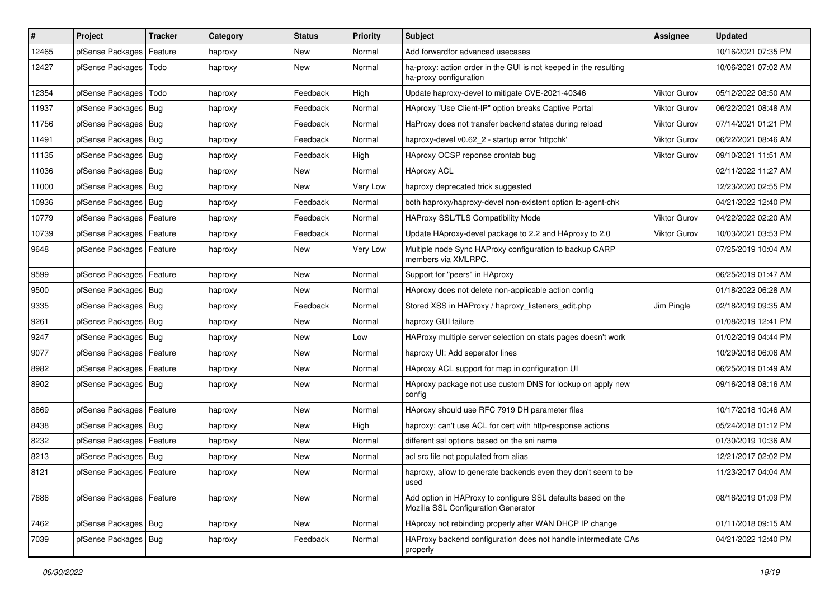| ∦     | Project                    | <b>Tracker</b> | Category | <b>Status</b> | <b>Priority</b> | <b>Subject</b>                                                                                      | Assignee            | <b>Updated</b>      |
|-------|----------------------------|----------------|----------|---------------|-----------------|-----------------------------------------------------------------------------------------------------|---------------------|---------------------|
| 12465 | pfSense Packages           | Feature        | haproxy  | New           | Normal          | Add forwardfor advanced usecases                                                                    |                     | 10/16/2021 07:35 PM |
| 12427 | pfSense Packages           | Todo           | haproxy  | New           | Normal          | ha-proxy: action order in the GUI is not keeped in the resulting<br>ha-proxy configuration          |                     | 10/06/2021 07:02 AM |
| 12354 | pfSense Packages           | Todo           | haproxy  | Feedback      | High            | Update haproxy-devel to mitigate CVE-2021-40346                                                     | <b>Viktor Gurov</b> | 05/12/2022 08:50 AM |
| 11937 | pfSense Packages           | <b>Bug</b>     | haproxy  | Feedback      | Normal          | HAproxy "Use Client-IP" option breaks Captive Portal                                                | <b>Viktor Gurov</b> | 06/22/2021 08:48 AM |
| 11756 | pfSense Packages           | Bug            | haproxy  | Feedback      | Normal          | HaProxy does not transfer backend states during reload                                              | <b>Viktor Gurov</b> | 07/14/2021 01:21 PM |
| 11491 | pfSense Packages   Bug     |                | haproxy  | Feedback      | Normal          | haproxy-devel v0.62 2 - startup error 'httpchk'                                                     | <b>Viktor Gurov</b> | 06/22/2021 08:46 AM |
| 11135 | pfSense Packages           | Bug            | haproxy  | Feedback      | High            | HAproxy OCSP reponse crontab bug                                                                    | Viktor Gurov        | 09/10/2021 11:51 AM |
| 11036 | pfSense Packages           | Bug            | haproxy  | New           | Normal          | <b>HAproxy ACL</b>                                                                                  |                     | 02/11/2022 11:27 AM |
| 11000 | pfSense Packages           | Bug            | haproxy  | New           | Very Low        | haproxy deprecated trick suggested                                                                  |                     | 12/23/2020 02:55 PM |
| 10936 | pfSense Packages           | Bug            | haproxy  | Feedback      | Normal          | both haproxy/haproxy-devel non-existent option lb-agent-chk                                         |                     | 04/21/2022 12:40 PM |
| 10779 | pfSense Packages           | Feature        | haproxy  | Feedback      | Normal          | HAProxy SSL/TLS Compatibility Mode                                                                  | <b>Viktor Gurov</b> | 04/22/2022 02:20 AM |
| 10739 | pfSense Packages           | Feature        | haproxy  | Feedback      | Normal          | Update HAproxy-devel package to 2.2 and HAproxy to 2.0                                              | <b>Viktor Gurov</b> | 10/03/2021 03:53 PM |
| 9648  | pfSense Packages           | Feature        | haproxy  | New           | Very Low        | Multiple node Sync HAProxy configuration to backup CARP<br>members via XMLRPC.                      |                     | 07/25/2019 10:04 AM |
| 9599  | pfSense Packages           | Feature        | haproxy  | New           | Normal          | Support for "peers" in HAproxy                                                                      |                     | 06/25/2019 01:47 AM |
| 9500  | pfSense Packages           | Bug            | haproxy  | <b>New</b>    | Normal          | HAproxy does not delete non-applicable action config                                                |                     | 01/18/2022 06:28 AM |
| 9335  | pfSense Packages           | Bug            | haproxy  | Feedback      | Normal          | Stored XSS in HAProxy / haproxy_listeners_edit.php                                                  | Jim Pingle          | 02/18/2019 09:35 AM |
| 9261  | pfSense Packages           | Bug            | haproxy  | New           | Normal          | haproxy GUI failure                                                                                 |                     | 01/08/2019 12:41 PM |
| 9247  | pfSense Packages           | Bug            | haproxy  | New           | Low             | HAProxy multiple server selection on stats pages doesn't work                                       |                     | 01/02/2019 04:44 PM |
| 9077  | pfSense Packages           | Feature        | haproxy  | New           | Normal          | haproxy UI: Add seperator lines                                                                     |                     | 10/29/2018 06:06 AM |
| 8982  | pfSense Packages           | Feature        | haproxy  | New           | Normal          | HAproxy ACL support for map in configuration UI                                                     |                     | 06/25/2019 01:49 AM |
| 8902  | pfSense Packages           | Bug            | haproxy  | New           | Normal          | HAproxy package not use custom DNS for lookup on apply new<br>config                                |                     | 09/16/2018 08:16 AM |
| 8869  | pfSense Packages           | Feature        | haproxy  | <b>New</b>    | Normal          | HAproxy should use RFC 7919 DH parameter files                                                      |                     | 10/17/2018 10:46 AM |
| 8438  | pfSense Packages           | Bug            | haproxy  | New           | High            | haproxy: can't use ACL for cert with http-response actions                                          |                     | 05/24/2018 01:12 PM |
| 8232  | pfSense Packages           | Feature        | haproxy  | New           | Normal          | different ssl options based on the sni name                                                         |                     | 01/30/2019 10:36 AM |
| 8213  | pfSense Packages           | Bug            | haproxy  | <b>New</b>    | Normal          | acl src file not populated from alias                                                               |                     | 12/21/2017 02:02 PM |
| 8121  | pfSense Packages   Feature |                | haproxy  | New           | Normal          | haproxy, allow to generate backends even they don't seem to be<br>used                              |                     | 11/23/2017 04:04 AM |
| 7686  | pfSense Packages           | Feature        | haproxy  | New           | Normal          | Add option in HAProxy to configure SSL defaults based on the<br>Mozilla SSL Configuration Generator |                     | 08/16/2019 01:09 PM |
| 7462  | pfSense Packages   Bug     |                | haproxy  | New           | Normal          | HAproxy not rebinding properly after WAN DHCP IP change                                             |                     | 01/11/2018 09:15 AM |
| 7039  | pfSense Packages   Bug     |                | haproxy  | Feedback      | Normal          | HAProxy backend configuration does not handle intermediate CAs<br>properly                          |                     | 04/21/2022 12:40 PM |